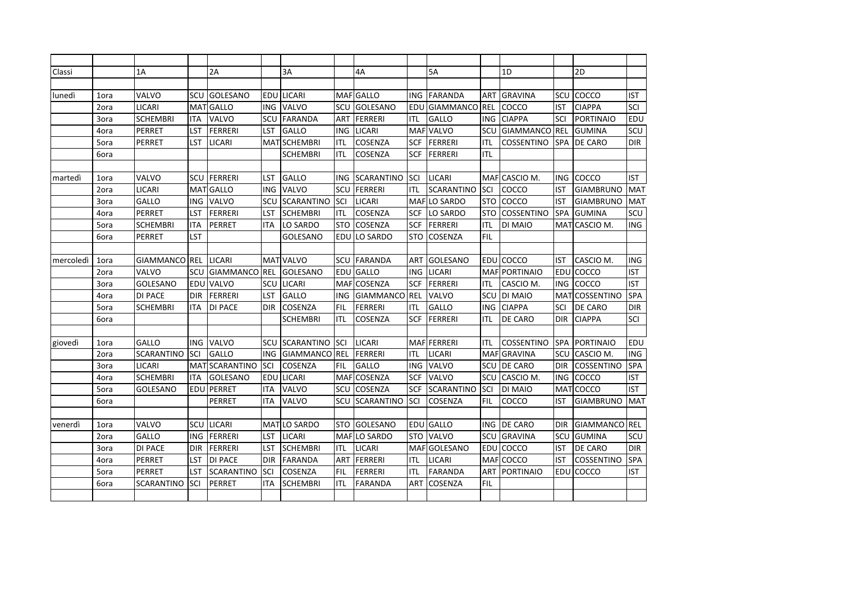| Classi    |      | 1A                |                 | 2A                |            | 3A                |            | 4A                |            | 5A                |            | 1D                |            | 2D                |            |
|-----------|------|-------------------|-----------------|-------------------|------------|-------------------|------------|-------------------|------------|-------------------|------------|-------------------|------------|-------------------|------------|
|           |      |                   |                 |                   |            |                   |            |                   |            |                   |            |                   |            |                   |            |
| lunedì    | 1ora | VALVO             | SCU             | <b>GOLESANO</b>   | EDU        | LICARI            | MAF        | GALLO             | ING        | <b>FARANDA</b>    | ART        | <b>GRAVINA</b>    | SCU        | COCCO             | <b>IST</b> |
|           | 2ora | LICARI            | MA <sup>-</sup> | <b>GALLO</b>      | ING        | VALVO             | SCU        | GOLESANO          | EDU        | <b>GIAMMANCO</b>  | <b>REL</b> | COCCO             | IST        | <b>CIAPPA</b>     | SCI        |
|           | 3ora | <b>SCHEMBRI</b>   | ITA             | VALVO             | SCU        | <b>FARANDA</b>    | ART        | <b>FERRERI</b>    | ITL        | GALLO             | <b>ING</b> | <b>CIAPPA</b>     | SCI        | <b>PORTINAIO</b>  | <b>EDU</b> |
|           | 4ora | PERRET            | LST             | <b>FERRERI</b>    | LST        | <b>GALLO</b>      | ING.       | <b>LICARI</b>     |            | MAF VALVO         | SCU        | <b>GIAMMANCO</b>  | <b>REL</b> | <b>GUMINA</b>     | SCU        |
|           | 5ora | PERRET            | LST             | <b>LICARI</b>     |            | MAT SCHEMBRI      | ITL        | COSENZA           | <b>SCF</b> | <b>FERRERI</b>    | <b>ITL</b> | COSSENTINO        | <b>SPA</b> | DE CARO           | <b>DIR</b> |
|           | 6ora |                   |                 |                   |            | <b>SCHEMBRI</b>   | ITL        | COSENZA           | <b>SCF</b> | <b>FERRERI</b>    | <b>ITL</b> |                   |            |                   |            |
|           |      |                   |                 |                   |            |                   |            |                   |            |                   |            |                   |            |                   |            |
| martedì   | 1ora | VALVO             | SCU             | <b>FERRERI</b>    | LST        | <b>GALLO</b>      | ING.       | <b>SCARANTINO</b> | SCI        | <b>LICARI</b>     |            | MAFICASCIO M.     | ING        | COCCO             | <b>IST</b> |
|           | 2ora | <b>LICARI</b>     | <b>MAT</b>      | <b>GALLO</b>      | <b>ING</b> | VALVO             | SCU        | FERRERI           | ITL        | <b>SCARANTINO</b> | SCI        | COCCO             | IST        | <b>GIAMBRUNO</b>  | <b>MAT</b> |
|           | 3ora | GALLO             | ING             | <b>VALVO</b>      | SCU        | <b>SCARANTINO</b> | SCI        | <b>LICARI</b>     |            | MAF LO SARDO      | <b>STO</b> | COCCO             | IST        | <b>GIAMBRUNO</b>  | <b>MAT</b> |
|           | 4ora | PERRET            | LST             | FERRERI           | LST        | <b>SCHEMBRI</b>   | ITL        | COSENZA           | <b>SCF</b> | LO SARDO          | <b>STO</b> | <b>COSSENTINO</b> | <b>SPA</b> | <b>GUMINA</b>     | SCU        |
|           | 5ora | <b>SCHEMBRI</b>   | ITA             | <b>PERRET</b>     | ITA        | LO SARDO          | STO        | COSENZA           | SCF        | <b>FERRERI</b>    | ITL        | DI MAIO           | MAT        | CASCIO M.         | <b>ING</b> |
|           | 6ora | PERRET            | LST             |                   |            | <b>GOLESANO</b>   | EDU        | LO SARDO          | <b>STO</b> | COSENZA           | <b>FIL</b> |                   |            |                   |            |
|           |      |                   |                 |                   |            |                   |            |                   |            |                   |            |                   |            |                   |            |
| mercoledi | 1ora | <b>GIAMMANCO</b>  | <b>REL</b>      | <b>LICARI</b>     |            | MAT VALVO         | SCU        | <b>FARANDA</b>    | ART        | GOLESANO          | EDU        | COCCO             | IST        | CASCIO M.         | <b>ING</b> |
|           | 2ora | VALVO             | SCU             | <b>GIAMMANCO</b>  | REL        | GOLESANO          | EDU        | <b>GALLO</b>      | <b>ING</b> | <b>LICARI</b>     | <b>MAF</b> | <b>PORTINAIO</b>  | EDU        | COCCO             | <b>IST</b> |
|           | 3ora | GOLESANO          | EDU             | VALVO             | SCU        | <b>LICARI</b>     | <b>MAF</b> | COSENZA           | <b>SCF</b> | FERRERI           | ITL        | CASCIO M.         | ING        | COCCO             | <b>IST</b> |
|           | 4ora | <b>DI PACE</b>    | <b>DIR</b>      | <b>FERRERI</b>    | LST        | GALLO             | ING.       | <b>GIAMMANCO</b>  | <b>REL</b> | VALVO             | SCU        | DI MAIO           | <b>MAT</b> | <b>COSSENTINO</b> | <b>SPA</b> |
|           | 5ora | <b>SCHEMBRI</b>   | ITA             | <b>DI PACE</b>    | <b>DIR</b> | COSENZA           | <b>FIL</b> | <b>FERRERI</b>    | ITL        | <b>GALLO</b>      | <b>ING</b> | <b>CIAPPA</b>     | SCI        | DE CARO           | <b>DIR</b> |
|           | 6ora |                   |                 |                   |            | <b>SCHEMBRI</b>   | ITL        | COSENZA           | <b>SCF</b> | <b>FERRERI</b>    | ITL        | DE CARO           | <b>DIR</b> | <b>CIAPPA</b>     | SCI        |
|           |      |                   |                 |                   |            |                   |            |                   |            |                   |            |                   |            |                   |            |
| giovedì   | 1ora | GALLO             | ING             | <b>VALVO</b>      | SCU        | <b>SCARANTINO</b> | SCI        | <b>LICARI</b>     |            | MAF FERRERI       | ITL        | <b>COSSENTINO</b> | <b>SPA</b> | <b>PORTINAIO</b>  | <b>EDU</b> |
|           | 2ora | <b>SCARANTINO</b> | SCI             | GALLO             | ING        | <b>GIAMMANCO</b>  | <b>REL</b> | <b>FERRERI</b>    | ITL        | LICARI            | <b>MAF</b> | <b>GRAVINA</b>    | SCU        | CASCIO M.         | <b>ING</b> |
|           | 3ora | LICARI            | MA <sup>-</sup> | <b>SCARANTINO</b> | SCI        | COSENZA           | FIL        | GALLO             | ING        | VALVO             | SCU        | <b>DE CARO</b>    | DIR        | COSSENTINO        | <b>SPA</b> |
|           | 4ora | <b>SCHEMBRI</b>   | ITA             | GOLESANO          | EDU        | LICARI            | <b>MAF</b> | COSENZA           | SCF        | VALVO             | SCU        | CASCIO M.         | ING        | COCCO             | <b>IST</b> |
|           | 5ora | GOLESANO          | EDU             | PERRET            | ITA        | VALVO             | SCU        | COSENZA           | SCF        | SCARANTINO        | SCI        | DI MAIO           | MAT        | COCCO             | <b>IST</b> |
|           | 6ora |                   |                 | PERRET            | <b>ITA</b> | VALVO             | SCU        | <b>SCARANTINO</b> | SCI        | COSENZA           | <b>FIL</b> | COCCO             | IST        | <b>GIAMBRUNO</b>  | MAT        |
|           |      |                   |                 |                   |            |                   |            |                   |            |                   |            |                   |            |                   |            |
| venerdì   | 1ora | VALVO             | SCU             | <b>LICARI</b>     |            | MATLO SARDO       | <b>STO</b> | GOLESANO          |            | <b>EDU</b> GALLO  | <b>ING</b> | <b>DE CARO</b>    | DIR        | GIAMMANCO REL     |            |
|           | 2ora | GALLO             | ING             | FERRERI           | LST        | <b>LICARI</b>     |            | MAFILO SARDO      | <b>STO</b> | <b>VALVO</b>      | SCU        | <b>GRAVINA</b>    | SCU        | <b>GUMINA</b>     | SCU        |
|           | 3ora | DI PACE           | DIR             | FERRERI           | LST        | <b>SCHEMBRI</b>   | ITL        | <b>LICARI</b>     | <b>MAF</b> | GOLESANO          | EDU        | COCCO             | IST        | DE CARO           | <b>DIR</b> |
|           | 4ora | <b>PERRET</b>     | LST             | <b>DI PACE</b>    | <b>DIR</b> | <b>FARANDA</b>    | ART        | FERRERI           | ITL        | <b>LICARI</b>     |            | MAF COCCO         | IST        | <b>COSSENTINO</b> | <b>SPA</b> |
|           | 5ora | <b>PERRET</b>     | LST             | <b>SCARANTINO</b> | SCI        | COSENZA           | <b>FIL</b> | <b>FERRERI</b>    | ITL        | <b>FARANDA</b>    | ART        | <b>PORTINAIO</b>  | EDU        | COCCO             | <b>IST</b> |
|           | 6ora | <b>SCARANTINO</b> | SCI             | <b>PERRET</b>     | ITA        | <b>SCHEMBRI</b>   | ITL        | FARANDA           | <b>ART</b> | COSENZA           | <b>FIL</b> |                   |            |                   |            |
|           |      |                   |                 |                   |            |                   |            |                   |            |                   |            |                   |            |                   |            |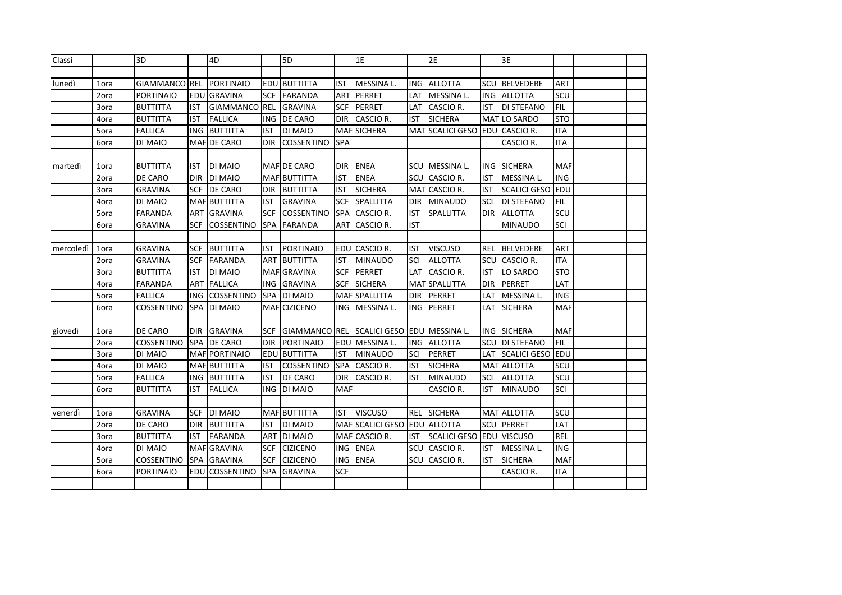| Classi    |      | 3D                |            | 4D                |            | 5D                  |            | 1E                           |            | 2E                             |            | 3E                      |            |  |
|-----------|------|-------------------|------------|-------------------|------------|---------------------|------------|------------------------------|------------|--------------------------------|------------|-------------------------|------------|--|
|           |      |                   |            |                   |            |                     |            |                              |            |                                |            |                         |            |  |
| lunedì    | 1ora | GIAMMANCO REL     |            | PORTINAIO         |            | EDU BUTTITTA        | <b>IST</b> | MESSINA L.                   | <b>ING</b> | <b>ALLOTTA</b>                 | <b>SCU</b> | <b>BELVEDERE</b>        | ART        |  |
|           | 2ora | <b>PORTINAIO</b>  | EDU        | <b>GRAVINA</b>    | <b>SCF</b> | <b>FARANDA</b>      | <b>ART</b> | PERRET                       | LAT        | MESSINA L.                     | <b>ING</b> | <b>ALLOTTA</b>          | SCU        |  |
|           | 3ora | <b>BUTTITTA</b>   | IST        | <b>GIAMMANCO</b>  | <b>REL</b> | <b>GRAVINA</b>      | <b>SCF</b> | PERRET                       | LAT        | CASCIO R.                      | IST        | <b>DI STEFANO</b>       | <b>FIL</b> |  |
|           | 4ora | <b>BUTTITTA</b>   | <b>IST</b> | <b>FALLICA</b>    | ING.       | <b>DE CARO</b>      | <b>DIR</b> | CASCIO R.                    | IST        | <b>SICHERA</b>                 |            | MAT LO SARDO            | <b>STO</b> |  |
|           | 5ora | <b>FALLICA</b>    | <b>ING</b> | <b>BUTTITTA</b>   | IST        | <b>DI MAIO</b>      | <b>MAF</b> | <b>SICHERA</b>               |            | MAT SCALICI GESO EDU CASCIO R. |            |                         | <b>ITA</b> |  |
|           | 6ora | DI MAIO           |            | MAF DE CARO       | <b>DIR</b> | <b>COSSENTINO</b>   | <b>SPA</b> |                              |            |                                |            | CASCIO R.               | <b>ITA</b> |  |
|           |      |                   |            |                   |            |                     |            |                              |            |                                |            |                         |            |  |
| martedì   | 1ora | <b>BUTTITTA</b>   | IST        | <b>DI MAIO</b>    |            | MAF DE CARO         | <b>DIR</b> | <b>ENEA</b>                  | <b>SCU</b> | MESSINA L.                     | ING        | <b>SICHERA</b>          | <b>MAF</b> |  |
|           | 2ora | <b>DE CARO</b>    | <b>DIR</b> | DI MAIO           |            | MAF BUTTITTA        | <b>IST</b> | <b>ENEA</b>                  | SCU        | CASCIO R.                      | <b>IST</b> | MESSINA L.              | <b>ING</b> |  |
|           | 3ora | <b>GRAVINA</b>    | <b>SCF</b> | <b>DE CARO</b>    | <b>DIR</b> | <b>BUTTITTA</b>     | <b>IST</b> | <b>SICHERA</b>               | <b>MAT</b> | CASCIO R.                      | <b>IST</b> | <b>SCALICI GESO</b>     | EDU        |  |
|           | 4ora | DI MAIO           |            | MAF BUTTITTA      | <b>IST</b> | <b>GRAVINA</b>      | <b>SCF</b> | SPALLITTA                    | <b>DIR</b> | MINAUDO                        | SCI        | DI STEFANO              | <b>FIL</b> |  |
|           | 5ora | <b>FARANDA</b>    | <b>ART</b> | <b>GRAVINA</b>    | <b>SCF</b> | <b>COSSENTINO</b>   | <b>SPA</b> | CASCIO R.                    | <b>IST</b> | <b>SPALLITTA</b>               | <b>DIR</b> | <b>ALLOTTA</b>          | SCU        |  |
|           | 6ora | <b>GRAVINA</b>    | <b>SCF</b> | <b>COSSENTINO</b> | <b>SPA</b> | <b>FARANDA</b>      | <b>ART</b> | CASCIO R.                    | <b>IST</b> |                                |            | <b>MINAUDO</b>          | SCI        |  |
|           |      |                   |            |                   |            |                     |            |                              |            |                                |            |                         |            |  |
| mercoledì | 1ora | <b>GRAVINA</b>    | <b>SCF</b> | <b>BUTTITTA</b>   | IST        | PORTINAIO           |            | EDU CASCIO R.                | <b>IST</b> | <b>VISCUSO</b>                 | <b>REL</b> | <b>BELVEDERE</b>        | <b>ART</b> |  |
|           | 2ora | <b>GRAVINA</b>    | <b>SCF</b> | FARANDA           | <b>ART</b> | <b>BUTTITTA</b>     | <b>IST</b> | <b>MINAUDO</b>               | SCI        | <b>ALLOTTA</b>                 | SCU        | CASCIO R.               | <b>ITA</b> |  |
|           | 3ora | <b>BUTTITTA</b>   | <b>IST</b> | DI MAIO           |            | MAF GRAVINA         | <b>SCF</b> | PERRET                       | LAT        | CASCIO R.                      | <b>IST</b> | LO SARDO                | <b>STO</b> |  |
|           | 4ora | <b>FARANDA</b>    | ART        | <b>FALLICA</b>    | <b>ING</b> | <b>GRAVINA</b>      | <b>SCF</b> | <b>SICHERA</b>               |            | MATSPALLITTA                   | DIR        | PERRET                  | LAT        |  |
|           | 5ora | <b>FALLICA</b>    | ING        | COSSENTINO        | <b>SPA</b> | DI MAIO             |            | MAF SPALLITTA                | <b>DIR</b> | PERRET                         | LAT        | MESSINA L.              | <b>ING</b> |  |
|           | 6ora | <b>COSSENTINO</b> |            | SPA DI MAIO       |            | MAF CIZICENO        | ING        | MESSINA L.                   | <b>ING</b> | PERRET                         | LAT        | <b>SICHERA</b>          | <b>MAF</b> |  |
|           |      |                   |            |                   |            |                     |            |                              |            |                                |            |                         |            |  |
| giovedì   | 1ora | DE CARO           | <b>DIR</b> | <b>GRAVINA</b>    | <b>SCF</b> | GIAMMANCO REL       |            | SCALICI GESO EDU             |            | MESSINA L.                     | ING        | <b>SICHERA</b>          | <b>MAF</b> |  |
|           | 2ora | <b>COSSENTINO</b> |            | SPA DE CARO       | <b>DIR</b> | PORTINAIO           | EDU        | MESSINA L.                   | <b>ING</b> | <b>ALLOTTA</b>                 | SCU        | <b>DI STEFANO</b>       | FIL        |  |
|           | 3ora | DI MAIO           |            | MAF PORTINAIO     | EDU        | <b>BUTTITTA</b>     | <b>IST</b> | <b>MINAUDO</b>               | SCI        | PERRET                         | LAT        | <b>SCALICI GESO EDU</b> |            |  |
|           | 4ora | DI MAIO           |            | MAF BUTTITTA      | IST        | <b>COSSENTINO</b>   | <b>SPA</b> | CASCIO R.                    | IST        | <b>SICHERA</b>                 |            | MAT ALLOTTA             | SCU        |  |
|           | 5ora | <b>FALLICA</b>    |            | ING BUTTITTA      | <b>IST</b> | DE CARO             | <b>DIR</b> | CASCIO R.                    | IST        | <b>MINAUDO</b>                 | SCI        | <b>ALLOTTA</b>          | SCU        |  |
|           | 6ora | <b>BUTTITTA</b>   | IST        | <b>FALLICA</b>    |            | ING DI MAIO         | <b>MAF</b> |                              |            | CASCIO R.                      | IST        | <b>MINAUDO</b>          | SCI        |  |
|           |      |                   |            |                   |            |                     |            |                              |            |                                |            |                         |            |  |
| venerdì   | 1ora | <b>GRAVINA</b>    | SCF        | <b>DI MAIO</b>    |            | <b>MAF BUTTITTA</b> | <b>IST</b> | <b>VISCUSO</b>               |            | REL SICHERA                    |            | <b>MAT ALLOTTA</b>      | SCU        |  |
|           | 2ora | DE CARO           | <b>DIR</b> | <b>BUTTITTA</b>   | IST        | DI MAIO             |            | MAF SCALICI GESO EDU ALLOTTA |            |                                |            | <b>SCU PERRET</b>       | LAT        |  |
|           | 3ora | <b>BUTTITTA</b>   | IST        | <b>FARANDA</b>    |            | ART DI MAIO         |            | MAF CASCIO R.                | IST        | SCALICI GESO EDU VISCUSO       |            |                         | <b>REL</b> |  |
|           | 4ora | DI MAIO           |            | MAF GRAVINA       | <b>SCF</b> | <b>CIZICENO</b>     | ING        | <b>ENEA</b>                  |            | SCU CASCIO R.                  | IST        | MESSINA L.              | <b>ING</b> |  |
|           | 5ora | <b>COSSENTINO</b> |            | SPA GRAVINA       | <b>SCF</b> | <b>CIZICENO</b>     | <b>ING</b> | <b>ENEA</b>                  | <b>SCU</b> | CASCIO R.                      | <b>IST</b> | <b>SICHERA</b>          | <b>MAF</b> |  |
|           | 6ora | <b>PORTINAIO</b>  | EDU        | <b>COSSENTINO</b> | <b>SPA</b> | <b>GRAVINA</b>      | <b>SCF</b> |                              |            |                                |            | CASCIO R.               | ITA        |  |
|           |      |                   |            |                   |            |                     |            |                              |            |                                |            |                         |            |  |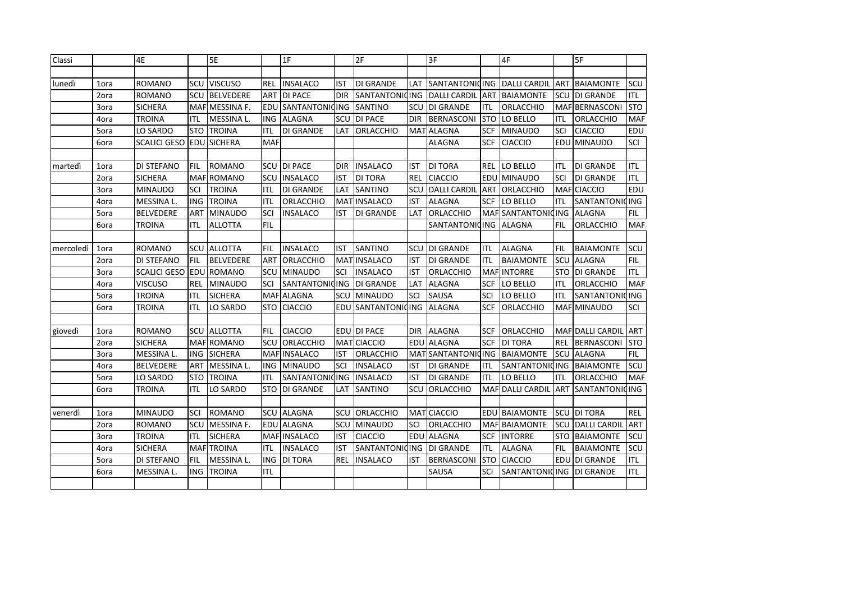| Classi    |      | 4E                  |            | 5E                 |                 | 1F                    |            | 2F                    |            | 3F                    |            | 4F                  |            | 5F                    |            |
|-----------|------|---------------------|------------|--------------------|-----------------|-----------------------|------------|-----------------------|------------|-----------------------|------------|---------------------|------------|-----------------------|------------|
|           |      |                     |            |                    |                 |                       |            |                       |            |                       |            |                     |            |                       |            |
| lunedì    | 1ora | <b>ROMANO</b>       | SCU        | <b>VISCUSO</b>     | REL             | <b>INSALACO</b>       | <b>IST</b> | <b>DI GRANDE</b>      | LAT        | <b>SANTANTONIQING</b> |            | <b>DALLI CARDIL</b> | ART        | <b>BAIAMONTE</b>      | SCU        |
|           | 2ora | <b>ROMANO</b>       | SCU        | <b>BELVEDERE</b>   | ART             | <b>DI PACE</b>        | <b>DIR</b> | <b>SANTANTONICING</b> |            | DALLI CARDIL ART      |            | <b>BAIAMONTE</b>    | SCU        | <b>DI GRANDE</b>      | <b>ITL</b> |
|           | 3ora | <b>SICHERA</b>      |            | MAF MESSINA F.     | EDU             | <b>SANTANTONIQING</b> |            | SANTINO               | SCU        | <b>DI GRANDE</b>      | ITL        | ORLACCHIO           |            | MAF BERNASCONI        | <b>STO</b> |
|           | 4ora | <b>TROINA</b>       | ITL        | MESSINA L.         | ING             | <b>ALAGNA</b>         | <b>SCU</b> | <b>DI PACE</b>        | <b>DIR</b> | <b>BERNASCONI</b>     | <b>STO</b> | LO BELLO            | ITL        | ORLACCHIO             | <b>MAF</b> |
|           | 5ora | LO SARDO            | <b>STO</b> | <b>TROINA</b>      | ITL             | DI GRANDE             | LAT        | <b>ORLACCHIO</b>      | MAT        | <b>ALAGNA</b>         | <b>SCF</b> | <b>MINAUDO</b>      | SCI        | <b>CIACCIO</b>        | EDU        |
|           | 6ora | <b>SCALICI GESO</b> |            | <b>EDU SICHERA</b> | <b>MAF</b>      |                       |            |                       |            | <b>ALAGNA</b>         | SCF        | <b>CIACCIO</b>      | EDU        | MINAUDO               | SCI        |
|           |      |                     |            |                    |                 |                       |            |                       |            |                       |            |                     |            |                       |            |
| martedì   | 1ora | <b>DI STEFANO</b>   | FIL        | <b>ROMANO</b>      | SCU             | <b>DI PACE</b>        | <b>DIR</b> | <b>INSALACO</b>       | IST        | <b>DI TORA</b>        | <b>REL</b> | LO BELLO            | ITL        | <b>DI GRANDE</b>      | <b>ITL</b> |
|           | 2ora | <b>SICHERA</b>      |            | <b>MAF ROMANO</b>  | SCU             | <b>INSALACO</b>       | <b>IST</b> | <b>DI TORA</b>        | <b>REL</b> | <b>CIACCIO</b>        | EDU        | <b>MINAUDO</b>      | SCI        | <b>DI GRANDE</b>      | <b>ITL</b> |
|           | 3ora | <b>MINAUDO</b>      | SCI        | <b>TROINA</b>      | <b>ITL</b>      | DI GRANDE             | LAT        | SANTINO               | SCU        | <b>DALLI CARDIL</b>   | ART        | <b>ORLACCHIO</b>    | <b>MAF</b> | <b>CIACCIO</b>        | <b>EDU</b> |
|           | 4ora | MESSINA L.          | <b>ING</b> | <b>TROINA</b>      | <b>ITL</b>      | <b>ORLACCHIO</b>      | <b>MAT</b> | <b>INSALACO</b>       | <b>IST</b> | ALAGNA                | <b>SCF</b> | LO BELLO            | <b>ITL</b> | <b>SANTANTONICING</b> |            |
|           | 5ora | <b>BELVEDERE</b>    | ART        | <b>MINAUDO</b>     | SCI             | <b>INSALACO</b>       | <b>IST</b> | DI GRANDE             | LAT        | ORLACCHIO             |            | MAF SANTANTONI      | ICING      | <b>ALAGNA</b>         | <b>FIL</b> |
|           | 6ora | <b>TROINA</b>       | <b>ITL</b> | <b>ALLOTTA</b>     | <b>FIL</b>      |                       |            |                       |            | SANTANTONICING        |            | <b>ALAGNA</b>       | <b>FIL</b> | ORLACCHIO             | <b>MAF</b> |
|           |      |                     |            |                    |                 |                       |            |                       |            |                       |            |                     |            |                       |            |
| mercoledì | 1ora | <b>ROMANO</b>       | SCU        | <b>ALLOTTA</b>     | FIL             | <b>INSALACO</b>       | <b>IST</b> | <b>SANTINO</b>        | SCU        | <b>DI GRANDE</b>      | <b>ITL</b> | <b>ALAGNA</b>       | FIL        | <b>BAIAMONTE</b>      | SCU        |
|           | 2ora | <b>DI STEFANO</b>   | FIL        | <b>BELVEDERE</b>   | AR <sub>1</sub> | ORLACCHIO             |            | MAT INSALACO          | <b>IST</b> | <b>DI GRANDE</b>      | <b>ITL</b> | <b>BAIAMONTE</b>    | scu        | <b>ALAGNA</b>         | <b>FIL</b> |
|           | 3ora | <b>SCALICI GESO</b> | <b>EDL</b> | ROMANO             | SCU             | <b>MINAUDO</b>        | SCI        | <b>INSALACO</b>       | <b>IST</b> | ORLACCHIO             |            | MAF INTORRE         | <b>STO</b> | <b>DI GRANDE</b>      | <b>ITL</b> |
|           | 4ora | <b>VISCUSO</b>      | <b>REL</b> | <b>MINAUDO</b>     | SCI             | <b>SANTANTONICING</b> |            | <b>DI GRANDE</b>      | LAT        | <b>ALAGNA</b>         | <b>SCF</b> | LO BELLO            | <b>ITL</b> | ORLACCHIO             | <b>MAF</b> |
|           | 5ora | <b>TROINA</b>       | ITL        | <b>SICHERA</b>     |                 | <b>MAF ALAGNA</b>     | <b>SCU</b> | <b>MINAUDO</b>        | SCI        | SAUSA                 | SCI        | LO BELLO            | <b>ITL</b> | SANTANTONICING        |            |
|           | 6ora | <b>TROINA</b>       | ITL        | LO SARDO           | STO             | <b>CIACCIO</b>        | EDU        | <b>SANTANTONIQING</b> |            | <b>ALAGNA</b>         | <b>SCF</b> | ORLACCHIO           | MAFI       | <b>MINAUDO</b>        | SCI        |
|           |      |                     |            |                    |                 |                       |            |                       |            |                       |            |                     |            |                       |            |
| giovedì   | 1ora | <b>ROMANO</b>       | SCU        | <b>ALLOTTA</b>     | FIL             | <b>CIACCIO</b>        |            | EDU DI PACE           | <b>DIR</b> | <b>ALAGNA</b>         | <b>SCF</b> | ORLACCHIO           |            | MAF DALLI CARDIL ART  |            |
|           | 2ora | <b>SICHERA</b>      |            | MAF ROMANO         | SCU             | ORLACCHIO             |            | MAT CIACCIO           |            | EDU ALAGNA            | <b>SCF</b> | <b>DI TORA</b>      | <b>REL</b> | <b>BERNASCONI</b>     | <b>STO</b> |
|           | 3ora | MESSINA L.          | ING        | <b>SICHERA</b>     |                 | MAF INSALACO          | <b>IST</b> | ORLACCHIO             |            | MAT SANTANTONIQING    |            | <b>BAIAMONTE</b>    | <b>SCU</b> | <b>ALAGNA</b>         | <b>FIL</b> |
|           | 4ora | <b>BELVEDERE</b>    | ART        | MESSINA L.         |                 | ING MINAUDO           | SCI        | <b>INSALACO</b>       | <b>IST</b> | <b>DI GRANDE</b>      | ITL        | SANTANTONICING      |            | <b>BAIAMONTE</b>      | scu        |
|           | 5ora | LO SARDO            | <b>STO</b> | <b>TROINA</b>      | ITL             | <b>SANTANTONIQING</b> |            | <b>INSALACO</b>       | <b>IST</b> | <b>DI GRANDE</b>      | ITL        | LO BELLO            | ITL        | ORLACCHIO             | <b>MAF</b> |
|           | 6ora | <b>TROINA</b>       | ITL        | LO SARDO           | STO             | <b>DI GRANDE</b>      | LAT        | SANTINO               | SCU        | ORLACCHIO             |            | MAF DALLI CARDIL    | <b>ART</b> | SANTANTONICING        |            |
|           |      |                     |            |                    |                 |                       |            |                       |            |                       |            |                     |            |                       |            |
| venerdì   | 1ora | <b>MINAUDO</b>      | SCI        | <b>ROMANO</b>      |                 | <b>SCU ALAGNA</b>     |            | SCU ORLACCHIO         |            | MAT CIACCIO           |            | EDU BAIAMONTE       |            | <b>SCU DI TORA</b>    | <b>REL</b> |
|           | 2ora | <b>ROMANO</b>       | SCU        | <b>MESSINA F.</b>  |                 | EDU ALAGNA            |            | SCU MINAUDO           | SCI        | ORLACCHIO             |            | MAF BAIAMONTE       | SCU        | DALLI CARDIL ART      |            |
|           | 3ora | <b>TROINA</b>       | ITL        | <b>SICHERA</b>     |                 | MAF INSALACO          | <b>IST</b> | <b>CIACCIO</b>        |            | EDU ALAGNA            | <b>SCF</b> | <b>INTORRE</b>      |            | <b>STO BAIAMONTE</b>  | <b>SCU</b> |
|           | 4ora | <b>SICHERA</b>      |            | MAFTROINA          | ITL             | <b>INSALACO</b>       | <b>IST</b> | SANTANTONIQING        |            | <b>DI GRANDE</b>      | <b>ITL</b> | <b>ALAGNA</b>       | <b>FIL</b> | <b>BAIAMONTE</b>      | scu        |
|           | 5ora | <b>DI STEFANO</b>   | <b>FIL</b> | MESSINA L.         | ING             | <b>DI TORA</b>        | REL        | <b>INSALACO</b>       | <b>IST</b> | <b>BERNASCONI</b>     | <b>STO</b> | <b>CIACCIO</b>      |            | EDU DI GRANDE         | <b>ITL</b> |
|           | 6ora | MESSINA L.          | <b>ING</b> | <b>TROINA</b>      | <b>ITL</b>      |                       |            |                       |            | SAUSA                 | SCI        | SANTANTONICING      |            | DI GRANDE             | <b>ITL</b> |
|           |      |                     |            |                    |                 |                       |            |                       |            |                       |            |                     |            |                       |            |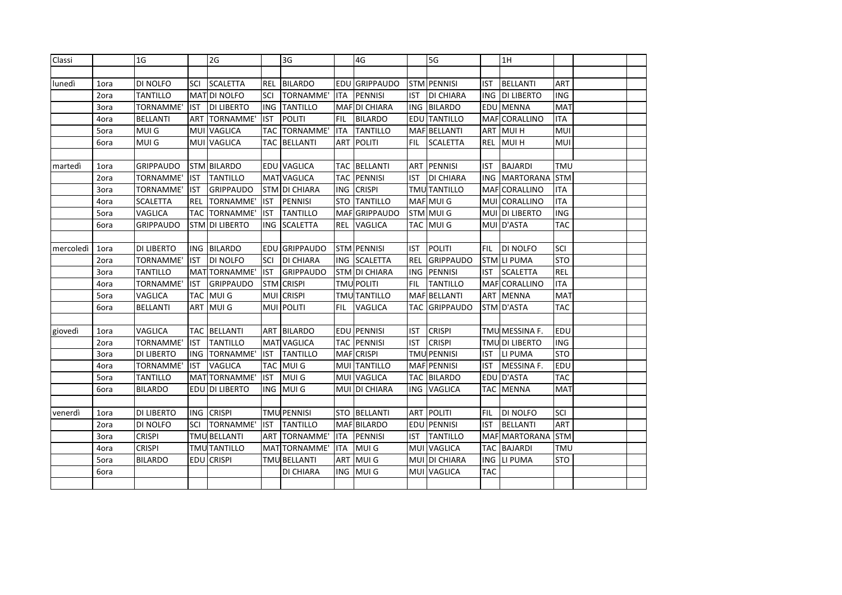| Classi    |      | 1 <sub>G</sub>    |            | 2G                  |            | 3G                  |            | 4G                  |            | 5G                   |            | 1H                    |            |  |
|-----------|------|-------------------|------------|---------------------|------------|---------------------|------------|---------------------|------------|----------------------|------------|-----------------------|------------|--|
|           |      |                   |            |                     |            |                     |            |                     |            |                      |            |                       |            |  |
| lunedì    | 1ora | DI NOLFO          | SCI        | <b>SCALETTA</b>     | REL        | <b>BILARDO</b>      | EDU        | <b>GRIPPAUDO</b>    |            | STM PENNISI          | <b>IST</b> | <b>BELLANTI</b>       | ART        |  |
|           | 2ora | <b>TANTILLO</b>   |            | MATOI NOLFO         | SCI        | <b>TORNAMME'</b>    | <b>ITA</b> | <b>PENNISI</b>      | IST        | <b>DI CHIARA</b>     | <b>ING</b> | <b>DI LIBERTO</b>     | ING        |  |
|           | 3ora | TORNAMME'         | <b>IST</b> | <b>DI LIBERTO</b>   | <b>ING</b> | <b>TANTILLO</b>     | MAF        | DI CHIARA           | ING        | <b>BILARDO</b>       |            | EDU MENNA             | <b>MAT</b> |  |
|           | 4ora | <b>BELLANTI</b>   | ART        | TORNAMME'           | <b>IST</b> | <b>POLITI</b>       | <b>FIL</b> | <b>BILARDO</b>      |            | EDU TANTILLO         |            | MAF CORALLINO         | <b>ITA</b> |  |
|           | 5ora | <b>MUIG</b>       | MUI        | <b>VAGLICA</b>      |            | TAC TORNAMME'       | <b>ITA</b> | <b>TANTILLO</b>     |            | MAF BELLANTI         |            | ART MUI H             | MUI        |  |
|           | 6ora | <b>MUIG</b>       |            | MUI VAGLICA         |            | <b>TAC BELLANTI</b> | ART        | <b>POLITI</b>       | FIL        | <b>SCALETTA</b>      | <b>REL</b> | <b>MUI H</b>          | MUI        |  |
|           |      |                   |            |                     |            |                     |            |                     |            |                      |            |                       |            |  |
| martedì   | 1ora | <b>GRIPPAUDO</b>  |            | STM BILARDO         |            | <b>EDU VAGLICA</b>  |            | TAC BELLANTI        | ART        | PENNISI              | IST        | <b>BAJARDI</b>        | TMU        |  |
|           | 2ora | TORNAMME'         | IST        | <b>TANTILLO</b>     | MAT        | <b>VAGLICA</b>      | TAC.       | <b>PENNISI</b>      | IST        | <b>DI CHIARA</b>     | ING.       | <b>MARTORANA</b>      | <b>STM</b> |  |
|           | 3ora | TORNAMME'         | <b>IST</b> | <b>GRIPPAUDO</b>    |            | STM DI CHIARA       | ING        | <b>CRISPI</b>       |            | <b>TMU TANTILLO</b>  |            | MAF CORALLINO         | <b>ITA</b> |  |
|           | 4ora | <b>SCALETTA</b>   | REL        | TORNAMME'           | <b>IST</b> | <b>PENNISI</b>      | <b>STO</b> | <b>TANTILLO</b>     |            | MAF MUI G            |            | MUI CORALLINO         | <b>ITA</b> |  |
|           | 5ora | VAGLICA           | <b>TAC</b> | TORNAMME'           | <b>IST</b> | <b>TANTILLO</b>     | <b>MAF</b> | <b>GRIPPAUDO</b>    |            | STM MUI G            |            | MUI DI LIBERTO        | <b>ING</b> |  |
|           | 6ora | GRIPPAUDO         |            | STM DI LIBERTO      | ING        | <b>SCALETTA</b>     | <b>REL</b> | <b>VAGLICA</b>      |            | TAC MUIG             |            | MUI D'ASTA            | <b>TAC</b> |  |
|           |      |                   |            |                     |            |                     |            |                     |            |                      |            |                       |            |  |
| mercoledì | 1ora | <b>DI LIBERTO</b> |            | ING BILARDO         |            | EDU GRIPPAUDO       |            | STM PENNISI         | IST        | <b>POLITI</b>        | <b>FIL</b> | <b>DI NOLFO</b>       | SCI        |  |
|           | 2ora | TORNAMME'         | <b>IST</b> | <b>DI NOLFO</b>     | SCI        | DI CHIARA           |            | ING SCALETTA        | REL        | <b>GRIPPAUDO</b>     |            | <b>STM LI PUMA</b>    | <b>STO</b> |  |
|           | 3ora | <b>TANTILLO</b>   |            | MAT TORNAMME'       | IST        | <b>GRIPPAUDO</b>    |            | STM DI CHIARA       | ING        | PENNISI              | <b>IST</b> | <b>SCALETTA</b>       | <b>REL</b> |  |
|           | 4ora | TORNAMME'         | <b>IST</b> | GRIPPAUDO           | STM        | <b>CRISPI</b>       |            | <b>TMU POLITI</b>   | <b>FIL</b> | <b>TANTILLO</b>      |            | MAF CORALLINO         | <b>ITA</b> |  |
|           | 5ora | VAGLICA           | <b>TAC</b> | <b>MUIG</b>         |            | MUI CRISPI          |            | <b>TMU</b> TANTILLO |            | MAF BELLANTI         |            | ART MENNA             | <b>MAT</b> |  |
|           | 6ora | <b>BELLANTI</b>   | ART        | <b>MUIG</b>         |            | MUI POLITI          | FIL        | VAGLICA             |            | <b>TAC GRIPPAUDO</b> |            | STM D'ASTA            | <b>TAC</b> |  |
|           |      |                   |            |                     |            |                     |            |                     |            |                      |            |                       |            |  |
| giovedì   | 1ora | VAGLICA           |            | TAC BELLANTI        |            | ART BILARDO         |            | EDU PENNISI         | IST        | <b>CRISPI</b>        |            | TMU MESSINA F.        | EDU        |  |
|           | 2ora | TORNAMME'         | <b>IST</b> | <b>TANTILLO</b>     |            | <b>MAT VAGLICA</b>  |            | <b>TAC PENNISI</b>  | IST        | <b>CRISPI</b>        |            | <b>TMU DI LIBERTO</b> | <b>ING</b> |  |
|           | 3ora | <b>DI LIBERTO</b> | ING        | TORNAMME'           | IST        | <b>TANTILLO</b>     |            | MAF CRISPI          |            | <b>TMU PENNISI</b>   |            | IST LI PUMA           | <b>STO</b> |  |
|           | 4ora | TORNAMME'         | <b>IST</b> | <b>VAGLICA</b>      |            | TAC MUIG            |            | MUI TANTILLO        |            | MAF PENNISI          | IST        | MESSINA F.            | EDU        |  |
|           | 5ora | <b>TANTILLO</b>   |            | MATTORNAMME'        | <b>IST</b> | <b>MUIG</b>         |            | MUI VAGLICA         |            | <b>TAC BILARDO</b>   |            | EDU D'ASTA            | <b>TAC</b> |  |
|           | 6ora | <b>BILARDO</b>    |            | EDU DI LIBERTO      |            | ING MUIG            |            | MUI DI CHIARA       |            | ING VAGLICA          |            | <b>TAC MENNA</b>      | <b>MAT</b> |  |
|           |      |                   |            |                     |            |                     |            |                     |            |                      |            |                       |            |  |
| venerdì   | 1ora | <b>DI LIBERTO</b> | ING        | <b>CRISPI</b>       |            | <b>TMU PENNISI</b>  |            | STO BELLANTI        |            | ART POLITI           | FIL.       | <b>DI NOLFO</b>       | <b>SCI</b> |  |
|           | 2ora | DI NOLFO          | SCI        | <b>TORNAMME'</b>    | <b>IST</b> | <b>TANTILLO</b>     |            | MAF BILARDO         |            | EDU PENNISI          | <b>IST</b> | <b>BELLANTI</b>       | <b>ART</b> |  |
|           | 3ora | <b>CRISPI</b>     |            | <b>TMU BELLANTI</b> |            | ART TORNAMME'       | ITA        | <b>PENNISI</b>      | IST        | <b>TANTILLO</b>      |            | MAF MARTORANA STM     |            |  |
|           | 4ora | <b>CRISPI</b>     |            | <b>TMU</b> TANTILLO |            | MAT TORNAMME'       | <b>ITA</b> | <b>MUIG</b>         |            | MUI VAGLICA          |            | TAC BAJARDI           | TMU        |  |
|           | 5ora | <b>BILARDO</b>    |            | EDU CRISPI          |            | TMU BELLANTI        |            | ART MUIG            |            | MUI DI CHIARA        |            | ING LI PUMA           | <b>STO</b> |  |
|           | 6ora |                   |            |                     |            | DI CHIARA           | ING        | MUI G               |            | MUI VAGLICA          | <b>TAC</b> |                       |            |  |
|           |      |                   |            |                     |            |                     |            |                     |            |                      |            |                       |            |  |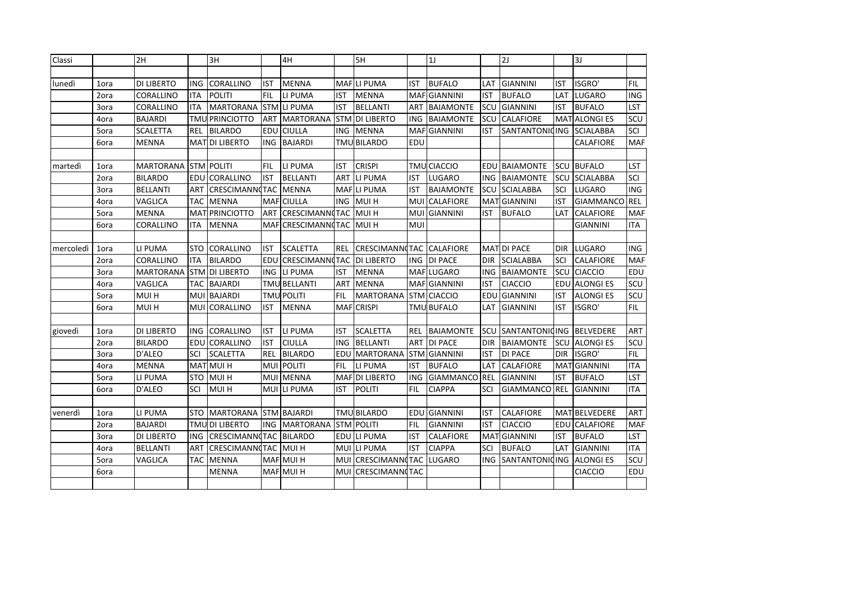| Classi    |      | 2H                |            | 3H                     |            | 4H                    |            | 5H                    |            | 1 <sub>J</sub>      |            | 2J                 |            | 3J                 |            |
|-----------|------|-------------------|------------|------------------------|------------|-----------------------|------------|-----------------------|------------|---------------------|------------|--------------------|------------|--------------------|------------|
|           |      |                   |            |                        |            |                       |            |                       |            |                     |            |                    |            |                    |            |
| lunedì    | 1ora | <b>DI LIBERTO</b> | ING        | CORALLINO              | <b>IST</b> | <b>MENNA</b>          |            | MAFLI PUMA            | <b>IST</b> | <b>BUFALO</b>       | LAT        | <b>GIANNINI</b>    | IST        | ISGRO'             | <b>FIL</b> |
|           | 2ora | CORALLINO         | ITA        | <b>POLITI</b>          | FIL        | LI PUMA               | IST        | <b>MENNA</b>          |            | <b>MAF</b> GIANNINI | <b>IST</b> | <b>BUFALO</b>      | LAT        | LUGARO             | <b>ING</b> |
|           | 3ora | CORALLINO         | ITA        | <b>MARTORANA</b>       | <b>STM</b> | LI PUMA               | <b>IST</b> | <b>BELLANTI</b>       | <b>ART</b> | <b>BAIAMONTE</b>    | SCU        | <b>GIANNINI</b>    | <b>IST</b> | <b>BUFALO</b>      | <b>LST</b> |
|           | 4ora | <b>BAJARDI</b>    |            | <b>TMU PRINCIOTTO</b>  | ART        | <b>MARTORANA</b>      |            | STM DI LIBERTO        | ING        | <b>BAIAMONTE</b>    | SCU        | <b>CALAFIORE</b>   |            | MAT ALONGI ES      | SCU        |
|           | 5ora | <b>SCALETTA</b>   | REL        | <b>BILARDO</b>         | EDU        | <b>CIULLA</b>         | ING.       | <b>MENNA</b>          | <b>MAF</b> | <b>GIANNINI</b>     | IST        | SANTANTONIQING     |            | <b>SCIALABBA</b>   | SCI        |
|           | 6ora | <b>MENNA</b>      |            | MAT DI LIBERTO         | ING        | <b>BAJARDI</b>        |            | <b>TMU BILARDO</b>    | EDU        |                     |            |                    |            | CALAFIORE          | <b>MAF</b> |
|           |      |                   |            |                        |            |                       |            |                       |            |                     |            |                    |            |                    |            |
| martedì   | 1ora | <b>MARTORANA</b>  |            | STM POLITI             | FIL        | LI PUMA               | <b>IST</b> | <b>CRISPI</b>         |            | <b>TMU CIACCIO</b>  | EDU        | <b>BAIAMONTE</b>   | SCU        | <b>BUFALO</b>      | LST        |
|           | 2ora | <b>BILARDO</b>    | EDU        | <b>CORALLINO</b>       | <b>IST</b> | <b>BELLANTI</b>       | <b>ART</b> | LI PUMA               | <b>IST</b> | LUGARO              | ING.       | <b>BAIAMONTE</b>   | scu        | <b>SCIALABBA</b>   | SCI        |
|           | 3ora | <b>BELLANTI</b>   | ART        | <b>CRESCIMANN TAC</b>  |            | <b>MENNA</b>          |            | MAFLI PUMA            | <b>IST</b> | <b>BAIAMONTE</b>    | SCU        | <b>SCIALABBA</b>   | SCI        | LUGARO             | <b>ING</b> |
|           | 4ora | VAGLICA           | <b>TAC</b> | <b>MENNA</b>           | <b>MAF</b> | <b>CIULLA</b>         | ING        | MUI H                 | <b>MUI</b> | <b>CALAFIORE</b>    | <b>MAT</b> | <b>GIANNINI</b>    | <b>IST</b> | <b>GIAMMANCO</b>   | <b>REL</b> |
|           | 5ora | <b>MENNA</b>      |            | MAT PRINCIOTTO         | <b>ART</b> | <b>CRESCIMANNCTAC</b> |            | <b>MUI H</b>          | <b>MUI</b> | <b>GIANNINI</b>     | IST        | <b>BUFALO</b>      | LAT        | CALAFIORE          | <b>MAF</b> |
|           | 6ora | CORALLINO         | <b>ITA</b> | <b>MENNA</b>           | MAF        | CRESCIMANN(TAC MUI H  |            |                       | <b>MUI</b> |                     |            |                    |            | <b>GIANNINI</b>    | <b>ITA</b> |
|           |      |                   |            |                        |            |                       |            |                       |            |                     |            |                    |            |                    |            |
| mercoledì | 1ora | LI PUMA           | <b>STO</b> | <b>CORALLINO</b>       | IST        | <b>SCALETTA</b>       | <b>REL</b> | <b>CRESCIMANNCTAC</b> |            | <b>CALAFIORE</b>    |            | <b>MATIDI PACE</b> | <b>DIR</b> | <b>LUGARO</b>      | ING        |
|           | 2ora | <b>CORALLINO</b>  | <b>ITA</b> | <b>BILARDO</b>         | EDU        | <b>CRESCIMANN</b> TAC |            | <b>DI LIBERTO</b>     | <b>ING</b> | <b>DI PACE</b>      | DIR        | <b>SCIALABBA</b>   | SCI        | CALAFIORE          | <b>MAF</b> |
|           | 3ora | <b>MARTORANA</b>  | <b>STM</b> | <b>DI LIBERTO</b>      | <b>ING</b> | LI PUMA               | <b>IST</b> | <b>MENNA</b>          |            | MAF LUGARO          | ING        | <b>BAIAMONTE</b>   | scu        | <b>CIACCIO</b>     | <b>EDU</b> |
|           | 4ora | <b>VAGLICA</b>    |            | TAC BAJARDI            |            | <b>TMU BELLANTI</b>   | ART        | <b>MENNA</b>          |            | MAF GIANNINI        | <b>IST</b> | <b>CIACCIO</b>     | EDU        | <b>ALONGIES</b>    | scu        |
|           | 5ora | MUI H             | MUI        | <b>BAJARDI</b>         | TMI        | <b>POLITI</b>         | <b>FIL</b> | <b>MARTORANA</b>      | <b>STM</b> | <b>CIACCIO</b>      | EDU        | <b>GIANNINI</b>    | <b>IST</b> | <b>ALONGIES</b>    | SCU        |
|           | 6ora | MUI H             |            | MUI CORALLINO          | IST        | <b>MENNA</b>          | MAF        | <b>CRISPI</b>         |            | <b>TMU BUFALO</b>   | LAT        | <b>GIANNINI</b>    | <b>IST</b> | <b>ISGRO'</b>      | <b>FIL</b> |
|           |      |                   |            |                        |            |                       |            |                       |            |                     |            |                    |            |                    |            |
| giovedì   | 1ora | <b>DI LIBERTO</b> | <b>ING</b> | <b>CORALLINO</b>       | IST        | LI PUMA               | IST        | <b>SCALETTA</b>       | REL        | <b>BAIAMONTE</b>    | SCU        | SANTANTONIQING     |            | <b>BELVEDERE</b>   | ART        |
|           | 2ora | <b>BILARDO</b>    | EDU        | <b>CORALLINO</b>       | IST        | <b>CIULLA</b>         | ING        | <b>BELLANTI</b>       | <b>ART</b> | <b>DI PACE</b>      | DIR        | <b>BAIAMONTE</b>   | SCU        | <b>ALONGIES</b>    | scu        |
|           | 3ora | D'ALEO            | SCI        | <b>SCALETTA</b>        | REL        | <b>BILARDO</b>        |            | EDU MARTORANA         |            | <b>STM GIANNINI</b> | IST        | <b>DI PACE</b>     | <b>DIR</b> | ISGRO'             | <b>FIL</b> |
|           | 4ora | <b>MENNA</b>      |            | MAT MUI H              |            | MUI POLITI            | FIL        | LI PUMA               | <b>IST</b> | <b>BUFALO</b>       | LAT        | CALAFIORE          |            | <b>MATGIANNINI</b> | <b>ITA</b> |
|           | 5ora | LI PUMA           | <b>STO</b> | MUI H                  |            | MUI MENNA             |            | MAF DI LIBERTO        | ING        | GIAMMANCO REL       |            | <b>GIANNINI</b>    | IST        | <b>BUFALO</b>      | LST        |
|           | 6ora | D'ALEO            | SCI        | <b>MUI H</b>           |            | MUI LI PUMA           | <b>IST</b> | <b>POLITI</b>         | FIL        | <b>CIAPPA</b>       | SCI        | <b>GIAMMANCO</b>   | <b>REL</b> | <b>GIANNINI</b>    | <b>ITA</b> |
|           |      |                   |            |                        |            |                       |            |                       |            |                     |            |                    |            |                    |            |
| venerdì   | 1ora | LI PUMA           | <b>STO</b> | MARTORANA STM BAJARDI  |            |                       |            | <b>TMU BILARDO</b>    |            | EDU GIANNINI        | <b>IST</b> | CALAFIORE          |            | MAT BELVEDERE      | ART        |
|           | 2ora | <b>BAJARDI</b>    |            | <b>TMU DI LIBERTO</b>  |            | ING MARTORANA         |            | <b>STM POLITI</b>     | <b>FIL</b> | <b>GIANNINI</b>     | IST        | <b>CIACCIO</b>     |            | EDU CALAFIORE      | <b>MAF</b> |
|           | 3ora | <b>DI LIBERTO</b> | <b>ING</b> | CRESCIMANNITAC BILARDO |            |                       |            | EDU LI PUMA           | <b>IST</b> | <b>CALAFIORE</b>    | MAT        | <b>GIANNINI</b>    | IST        | <b>BUFALO</b>      | <b>LST</b> |
|           | 4ora | <b>BELLANTI</b>   | <b>ART</b> | CRESCIMANN(TAC MUI H   |            |                       |            | MUI LI PUMA           | <b>IST</b> | <b>CIAPPA</b>       | SCI        | <b>BUFALO</b>      | <b>LAT</b> | <b>GIANNINI</b>    | <b>ITA</b> |
|           | 5ora | <b>VAGLICA</b>    | TAC        | <b>MENNA</b>           |            | MAF MUI H             |            | MUI CRESCIMANNITAC    |            | <b>LUGARO</b>       | ING        | SANTANTONICING     |            | <b>ALONGIES</b>    | SCU        |
|           | 6ora |                   |            | <b>MENNA</b>           |            | MAF MUI H             | MUI        | <b>CRESCIMANNOTAC</b> |            |                     |            |                    |            | <b>CIACCIO</b>     | EDU        |
|           |      |                   |            |                        |            |                       |            |                       |            |                     |            |                    |            |                    |            |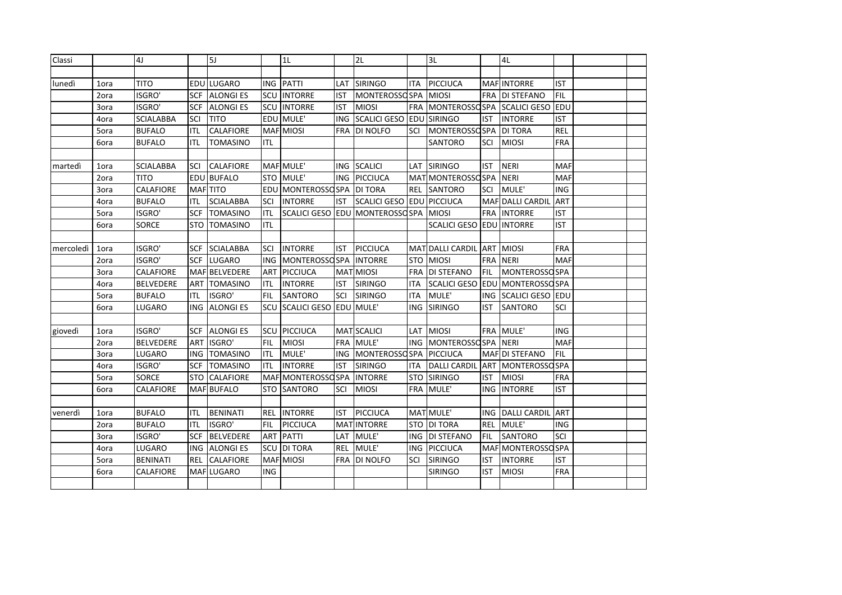| Classi    |      | 4J               |            | 5J               |            | 1L                  |            | 2L                   |            | 3L                             |            | 4L                       |            |  |
|-----------|------|------------------|------------|------------------|------------|---------------------|------------|----------------------|------------|--------------------------------|------------|--------------------------|------------|--|
|           |      |                  |            |                  |            |                     |            |                      |            |                                |            |                          |            |  |
| lunedì    | 1ora | <b>TITO</b>      |            | EDU LUGARO       |            | ING PATTI           |            | LAT SIRINGO          | <b>ITA</b> | PICCIUCA                       |            | <b>MAF INTORRE</b>       | <b>IST</b> |  |
|           | 2ora | ISGRO'           | SCF        | <b>ALONGIES</b>  | <b>SCU</b> | <b>INTORRE</b>      | <b>IST</b> | MONTEROSSO SPA       |            | <b>MIOSI</b>                   | FRA        | <b>DI STEFANO</b>        | <b>FIL</b> |  |
|           | 3ora | ISGRO'           | <b>SCF</b> | <b>ALONGIES</b>  | <b>SCU</b> | <b>INTORRE</b>      | <b>IST</b> | <b>MIOSI</b>         | <b>FRA</b> | <b>MONTEROSSOSPA</b>           |            | <b>SCALICI GESO</b>      | EDU        |  |
|           | 4ora | <b>SCIALABBA</b> | SCI        | <b>TITO</b>      |            | EDU MULE'           | <b>ING</b> | SCALICI GESO EDU     |            | <b>SIRINGO</b>                 | <b>IST</b> | <b>INTORRE</b>           | <b>IST</b> |  |
|           | 5ora | <b>BUFALO</b>    | ITL        | <b>CALAFIORE</b> |            | MAF MIOSI           | <b>FRA</b> | DI NOLFO             | SCI        | <b>MONTEROSSOSPA</b>           |            | <b>DI TORA</b>           | <b>REL</b> |  |
|           | 6ora | <b>BUFALO</b>    | ITL        | <b>TOMASINO</b>  | ITL        |                     |            |                      |            | <b>SANTORO</b>                 | SCI        | <b>MIOSI</b>             | <b>FRA</b> |  |
|           |      |                  |            |                  |            |                     |            |                      |            |                                |            |                          |            |  |
| martedì   | 1ora | <b>SCIALABBA</b> | SCI        | <b>CALAFIORE</b> |            | MAF MULE'           | <b>ING</b> | <b>SCALICI</b>       | LAT        | <b>SIRINGO</b>                 | IST        | <b>NERI</b>              | <b>MAF</b> |  |
|           | 2ora | TITO             |            | EDU BUFALO       |            | STO MULE'           | <b>ING</b> | <b>PICCIUCA</b>      |            | MATIMONTEROSSO SPA             |            | <b>NERI</b>              | <b>MAF</b> |  |
|           | 3ora | <b>CALAFIORE</b> |            | MAF TITO         | EDU        | MONTEROSSO SPA      |            | <b>DI TORA</b>       | <b>REL</b> | <b>SANTORO</b>                 | SCI        | MULE'                    | <b>ING</b> |  |
|           | 4ora | <b>BUFALO</b>    | ITL        | <b>SCIALABBA</b> | SCI        | <b>INTORRE</b>      | <b>IST</b> | SCALICI GESO EDU     |            | <b>PICCIUCA</b>                |            | MAF DALLI CARDIL         | <b>ART</b> |  |
|           | 5ora | ISGRO'           | <b>SCF</b> | <b>TOMASINO</b>  | <b>ITL</b> | SCALICI GESO EDU    |            | <b>MONTEROSSOSPA</b> |            | <b>MIOSI</b>                   | <b>FRA</b> | <b>INTORRE</b>           | <b>IST</b> |  |
|           | 6ora | SORCE            | <b>STO</b> | <b>TOMASINO</b>  | <b>ITL</b> |                     |            |                      |            | SCALICI GESO EDU INTORRE       |            |                          | <b>IST</b> |  |
|           |      |                  |            |                  |            |                     |            |                      |            |                                |            |                          |            |  |
| mercoledì | 1ora | ISGRO'           | <b>SCF</b> | <b>SCIALABBA</b> | SCI        | <b>INTORRE</b>      | <b>IST</b> | PICCIUCA             |            | MAT DALLI CARDIL ART           |            | <b>MIOSI</b>             | <b>FRA</b> |  |
|           | 2ora | ISGRO'           | <b>SCF</b> | <b>LUGARO</b>    | <b>ING</b> | MONTEROSSOSPA       |            | <b>INTORRE</b>       | <b>STO</b> | <b>MIOSI</b>                   | <b>FRA</b> | <b>NERI</b>              | <b>MAF</b> |  |
|           | 3ora | CALAFIORE        |            | MAF BELVEDERE    | <b>ART</b> | <b>PICCIUCA</b>     |            | MAT MIOSI            | <b>FRA</b> | <b>DI STEFANO</b>              | <b>FIL</b> | <b>MONTEROSSO SPA</b>    |            |  |
|           | 4ora | <b>BELVEDERE</b> | ART        | <b>TOMASINO</b>  | ITL        | <b>INTORRE</b>      | <b>IST</b> | <b>SIRINGO</b>       | ITA.       | <b>SCALICI GESO EDU</b>        |            | <b>MONTEROSSO SPA</b>    |            |  |
|           | 5ora | <b>BUFALO</b>    | ITL        | <b>ISGRO'</b>    | FIL        | <b>SANTORO</b>      | SCI        | <b>SIRINGO</b>       | ITA.       | MULE'                          | <b>ING</b> | <b>SCALICI GESO EDU</b>  |            |  |
|           | 6ora | LUGARO           | <b>ING</b> | <b>ALONGIES</b>  | SCU        | <b>SCALICI GESO</b> |            | EDU MULE'            | <b>ING</b> | <b>SIRINGO</b>                 | IST        | <b>SANTORO</b>           | SCI        |  |
|           |      |                  |            |                  |            |                     |            |                      |            |                                |            |                          |            |  |
| giovedì   | 1ora | ISGRO'           | SCF        | <b>ALONGIES</b>  | SCU        | PICCIUCA            |            | MAT SCALICI          | <b>LAT</b> | <b>MIOSI</b>                   | <b>FRA</b> | MULE'                    | <b>ING</b> |  |
|           | 2ora | <b>BELVEDERE</b> | <b>ART</b> | ISGRO'           | FIL        | <b>MIOSI</b>        |            | FRA MULE'            | <b>ING</b> | MONTEROSSO SPA                 |            | <b>NERI</b>              | <b>MAF</b> |  |
|           | 3ora | LUGARO           | ING        | <b>TOMASINO</b>  | <b>ITL</b> | MULE'               |            | ING MONTEROSSOSPA    |            | PICCIUCA                       |            | MAF DI STEFANO           | <b>FIL</b> |  |
|           | 4ora | ISGRO'           | SCF        | <b>TOMASINO</b>  | <b>ITL</b> | <b>INTORRE</b>      | <b>IST</b> | <b>SIRINGO</b>       | <b>ITA</b> | DALLI CARDIL ART MONTEROSSOSPA |            |                          |            |  |
|           | 5ora | <b>SORCE</b>     | <b>STO</b> | <b>CALAFIORE</b> |            | MAF MONTEROSSO SPA  |            | <b>INTORRE</b>       |            | <b>STO SIRINGO</b>             | IST        | <b>MIOSI</b>             | <b>FRA</b> |  |
|           | 6ora | CALAFIORE        |            | MAF BUFALO       |            | <b>STO SANTORO</b>  | SCI        | <b>MIOSI</b>         |            | FRA MULE'                      | ING        | <b>INTORRE</b>           | <b>IST</b> |  |
|           |      |                  |            |                  |            |                     |            |                      |            |                                |            |                          |            |  |
| venerdì   | 1ora | <b>BUFALO</b>    | ITL        | <b>BENINATI</b>  |            | <b>REL INTORRE</b>  | <b>IST</b> | PICCIUCA             |            | MAT MULE'                      |            | ING   DALLI CARDIL   ART |            |  |
|           | 2ora | <b>BUFALO</b>    | ITL        | ISGRO'           | FIL        | <b>PICCIUCA</b>     |            | <b>MATINTORRE</b>    |            | <b>STO DI TORA</b>             |            | REL MULE'                | <b>ING</b> |  |
|           | 3ora | <b>ISGRO'</b>    | SCF        | <b>BELVEDERE</b> |            | <b>ART PATTI</b>    |            | LAT MULE'            |            | ING DI STEFANO                 | FIL        | <b>SANTORO</b>           | SCI        |  |
|           | 4ora | <b>LUGARO</b>    | <b>ING</b> | <b>ALONGIES</b>  |            | SCU DI TORA         | <b>REL</b> | MULE'                | ING.       | PICCIUCA                       |            | MAF MONTEROSSO SPA       |            |  |
|           | 5ora | <b>BENINATI</b>  | <b>REL</b> | <b>CALAFIORE</b> |            | MAF MIOSI           | <b>FRA</b> | DI NOLFO             | SCI        | <b>SIRINGO</b>                 | <b>IST</b> | <b>INTORRE</b>           | <b>IST</b> |  |
|           | 6ora | CALAFIORE        |            | MAFLUGARO        | <b>ING</b> |                     |            |                      |            | <b>SIRINGO</b>                 | <b>IST</b> | <b>MIOSI</b>             | <b>FRA</b> |  |
|           |      |                  |            |                  |            |                     |            |                      |            |                                |            |                          |            |  |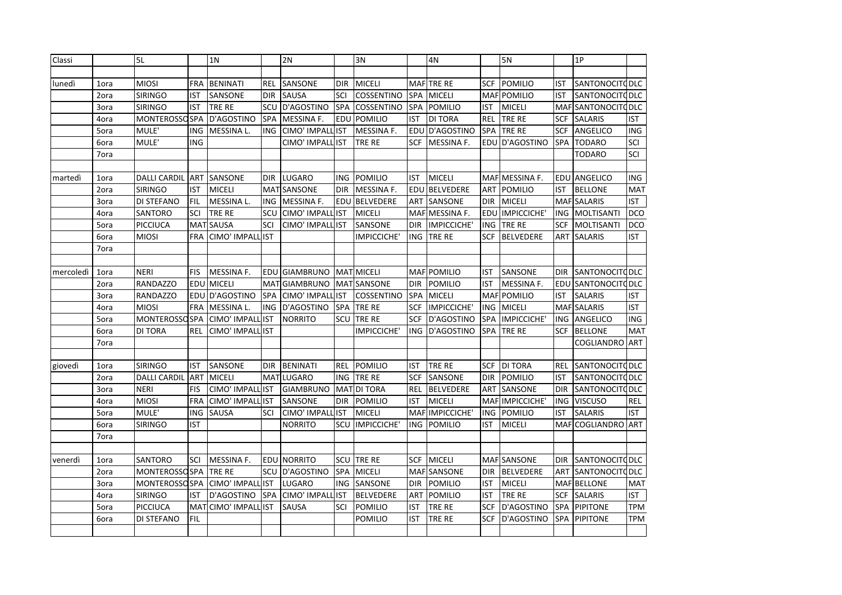| Classi    |      | 5L                    |                 | 1 <sub>N</sub>    |            | 2N                 |            | 3N                 |            | 4N               |            | 5N                 |            | 1P                    |            |
|-----------|------|-----------------------|-----------------|-------------------|------------|--------------------|------------|--------------------|------------|------------------|------------|--------------------|------------|-----------------------|------------|
|           |      |                       |                 |                   |            |                    |            |                    |            |                  |            |                    |            |                       |            |
| lunedì    | 1ora | <b>MIOSI</b>          | <b>FRA</b>      | <b>BENINATI</b>   | REL        | SANSONE            | <b>DIR</b> | <b>MICELI</b>      |            | MAFTRE RE        | <b>SCF</b> | <b>POMILIO</b>     | <b>IST</b> | <b>SANTONOCITODLC</b> |            |
|           | 2ora | <b>SIRINGO</b>        | IST             | SANSONE           | <b>DIR</b> | SAUSA              | SCI        | COSSENTINO         | SPA        | <b>MICELI</b>    |            | <b>MAF POMILIO</b> | IST        | <b>SANTONOCITODLC</b> |            |
|           | 3ora | <b>SIRINGO</b>        | IST             | <b>TRE RE</b>     | SCU        | D'AGOSTINO         | <b>SPA</b> | COSSENTINO         | <b>SPA</b> | <b>POMILIO</b>   | <b>IST</b> | <b>MICELI</b>      |            | MAF SANTONOCIT QDLC   |            |
|           | 4ora | <b>MONTEROSSO SPA</b> |                 | D'AGOSTINO        | SPA        | MESSINA F.         | EDU        | POMILIO            | <b>IST</b> | <b>DI TORA</b>   | <b>REL</b> | TRE RE             | <b>SCF</b> | <b>SALARIS</b>        | <b>IST</b> |
|           | 5ora | MULE'                 | ING             | MESSINA L.        | ING        | CIMO' IMPALL       | <b>IST</b> | MESSINA F.         | EDU        | D'AGOSTINO       | SPA        | TRE RE             | <b>SCF</b> | ANGELICO              | <b>ING</b> |
|           | 6ora | MULE'                 | ING             |                   |            | CIMO' IMPALL IST   |            | TRE RE             | <b>SCF</b> | MESSINA F.       |            | EDU D'AGOSTINO     | SPA        | <b>TODARO</b>         | SCI        |
|           | 7ora |                       |                 |                   |            |                    |            |                    |            |                  |            |                    |            | <b>TODARO</b>         | SCI        |
|           |      |                       |                 |                   |            |                    |            |                    |            |                  |            |                    |            |                       |            |
| martedì   | 1ora | <b>DALLI CARDIL</b>   | <b>ART</b>      | <b>SANSONE</b>    | <b>DIR</b> | <b>LUGARO</b>      | ING.       | POMILIO            | <b>IST</b> | <b>MICELI</b>    |            | MAF MESSINA F.     |            | <b>EDU ANGELICO</b>   | <b>ING</b> |
|           | 2ora | <b>SIRINGO</b>        | IST             | <b>MICELI</b>     |            | <b>MAT SANSONE</b> | <b>DIR</b> | <b>MESSINA F.</b>  | EDU        | <b>BELVEDERE</b> | ART        | <b>POMILIO</b>     | <b>IST</b> | <b>BELLONE</b>        | <b>MAT</b> |
|           | 3ora | DI STEFANO            | FIL             | MESSINA L.        | ING        | MESSINA F.         | EDU        | <b>BELVEDERE</b>   | <b>ART</b> | SANSONE          | <b>DIR</b> | <b>MICELI</b>      |            | <b>MAF SALARIS</b>    | <b>IST</b> |
|           | 4ora | SANTORO               | SCI             | TRE RE            | SCU        | CIMO' IMPALI       | <b>IST</b> | <b>MICELI</b>      | MAFI       | MESSINA F.       | EDU        | IMPICCICHE'        | ING        | MOLTISANTI            | <b>DCO</b> |
|           | 5ora | PICCIUCA              | MA <sup>-</sup> | SAUSA             | SCI        | CIMO' IMPALI       | <b>IST</b> | SANSONE            | <b>DIR</b> | IMPICCICHE'      | <b>ING</b> | TRE RE             | <b>SCF</b> | <b>MOLTISANTI</b>     | <b>DCO</b> |
|           | 6ora | <b>MIOSI</b>          | FRA             | CIMO' IMPALI      | <b>IST</b> |                    |            | IMPICCICHE'        | <b>ING</b> | TRE RE           | <b>SCF</b> | <b>BELVEDERE</b>   | ART        | <b>SALARIS</b>        | <b>IST</b> |
|           | 7ora |                       |                 |                   |            |                    |            |                    |            |                  |            |                    |            |                       |            |
|           |      |                       |                 |                   |            |                    |            |                    |            |                  |            |                    |            |                       |            |
| mercoledì | 1ora | <b>NERI</b>           | FIS             | MESSINA F.        |            | EDU GIAMBRUNO      |            | <b>MAT MICELI</b>  |            | MAF POMILIO      | IST        | SANSONE            | <b>DIR</b> | <b>SANTONOCITODLC</b> |            |
|           | 2ora | <b>RANDAZZO</b>       | EDU             | <b>MICELI</b>     | <b>MAT</b> | <b>GIAMBRUNO</b>   |            | <b>MAT SANSONE</b> | <b>DIR</b> | <b>POMILIO</b>   | IST        | MESSINA F.         | EDU        | <b>SANTONOCITODLC</b> |            |
|           | 3ora | <b>RANDAZZO</b>       | EDU             | D'AGOSTINO        | SPA        | CIMO' IMPALI       | <b>IST</b> | COSSENTINO         | SPA        | <b>MICELI</b>    | <b>MAF</b> | <b>POMILIO</b>     | IST        | <b>SALARIS</b>        | <b>IST</b> |
|           | 4ora | <b>MIOSI</b>          | FRA             | MESSINA L.        | <b>ING</b> | D'AGOSTINO         | SPA        | TRE RE             | <b>SCF</b> | IMPICCICHE'      | <b>ING</b> | <b>MICELI</b>      |            | <b>MAF SALARIS</b>    | <b>IST</b> |
|           | 5ora | <b>MONTEROSSO SPA</b> |                 | CIMO' IMPALI      | <b>IST</b> | <b>NORRITO</b>     | SCU        | TRE RE             | <b>SCF</b> | D'AGOSTINO       | <b>SPA</b> | IMPICCICHE'        |            | ING ANGELICO          | ING        |
|           | 6ora | DI TORA               | REL             | CIMO' IMPALL      | <b>IST</b> |                    |            | IMPICCICHE'        | <b>ING</b> | D'AGOSTINO       | SPA        | TRE RE             | SCF        | <b>BELLONE</b>        | <b>MAT</b> |
|           | 7ora |                       |                 |                   |            |                    |            |                    |            |                  |            |                    |            | COGLIANDRO            | <b>ART</b> |
|           |      |                       |                 |                   |            |                    |            |                    |            |                  |            |                    |            |                       |            |
| giovedì   | 1ora | <b>SIRINGO</b>        | IST             | SANSONE           | <b>DIR</b> | <b>BENINATI</b>    | REL        | <b>POMILIO</b>     | IST        | TRE RE           | SCF        | <b>DI TORA</b>     | REL        | <b>SANTONOCITODLC</b> |            |
|           | 2ora | <b>DALLI CARDIL</b>   | <b>ART</b>      | <b>MICELI</b>     |            | MATLUGARO          | ING.       | TRE RE             | <b>SCF</b> | SANSONE          | <b>DIR</b> | <b>POMILIO</b>     | <b>IST</b> | <b>SANTONOCITODLC</b> |            |
|           | 3ora | <b>NERI</b>           | <b>FIS</b>      | CIMO' IMPALL      | <b>IST</b> | <b>GIAMBRUNO</b>   | <b>MAT</b> | <b>DI TORA</b>     | REL        | <b>BELVEDERE</b> | ART        | <b>SANSONE</b>     | <b>DIR</b> | <b>SANTONOCITODLC</b> |            |
|           | 4ora | <b>MIOSI</b>          | FRA             | CIMO' IMPALL      | <b>IST</b> | SANSONE            | <b>DIR</b> | <b>POMILIO</b>     | <b>IST</b> | <b>MICELI</b>    |            | MAF IMPICCICHE     | <b>ING</b> | <b>VISCUSO</b>        | <b>REL</b> |
|           | 5ora | MULE'                 | ING             | <b>SAUSA</b>      | SCI        | CIMO' IMPAL        | <b>IST</b> | <b>MICELI</b>      | <b>MAF</b> | IMPICCICHE'      | <b>ING</b> | <b>POMILIO</b>     | <b>IST</b> | <b>SALARIS</b>        | <b>IST</b> |
|           | 6ora | <b>SIRINGO</b>        | IST             |                   |            | <b>NORRITO</b>     | SCU        | IMPICCICHE'        | ING        | <b>POMILIO</b>   | <b>IST</b> | <b>MICELI</b>      |            | <b>MAFICOGLIANDRO</b> | <b>ART</b> |
|           | 7ora |                       |                 |                   |            |                    |            |                    |            |                  |            |                    |            |                       |            |
|           |      |                       |                 |                   |            |                    |            |                    |            |                  |            |                    |            |                       |            |
| venerdì   | 1ora | SANTORO               | SCI             | <b>MESSINA F.</b> |            | <b>EDU NORRITO</b> | SCU        | TRE RE             | <b>SCF</b> | <b>MICELI</b>    |            | <b>MAF SANSONE</b> | <b>DIR</b> | SANTONOCITO DLC       |            |
|           | 2ora | <b>MONTEROSSO SPA</b> |                 | TRE RE            | SCU        | D'AGOSTINO         | SPA        | <b>MICELI</b>      | <b>MAF</b> | SANSONE          | <b>DIR</b> | <b>BELVEDERE</b>   | ART        | <b>SANTONOCITODLC</b> |            |
|           | 3ora | <b>MONTEROSSO SPA</b> |                 | CIMO' IMPALL      | <b>IST</b> | LUGARO             | ING        | SANSONE            | <b>DIR</b> | <b>POMILIO</b>   | <b>IST</b> | <b>MICELI</b>      |            | <b>MAF BELLONE</b>    | <b>MAT</b> |
|           | 4ora | <b>SIRINGO</b>        | IST             | D'AGOSTINO        | <b>SPA</b> | CIMO' IMPALL       | <b>IST</b> | <b>BELVEDERE</b>   | <b>ART</b> | <b>POMILIO</b>   | <b>IST</b> | TRE RE             | <b>SCF</b> | <b>SALARIS</b>        | <b>IST</b> |
|           | 5ora | PICCIUCA              | MA <sup>-</sup> | CIMO' IMPALL      | <b>IST</b> | SAUSA              | SCI        | POMILIO            | IST        | TRE RE           | SCF        | D'AGOSTINO         | <b>SPA</b> | <b>PIPITONE</b>       | TPM        |
|           | 6ora | DI STEFANO            | <b>FIL</b>      |                   |            |                    |            | POMILIO            | IST        | TRE RE           | <b>SCF</b> | D'AGOSTINO         | <b>SPA</b> | <b>PIPITONE</b>       | TPM        |
|           |      |                       |                 |                   |            |                    |            |                    |            |                  |            |                    |            |                       |            |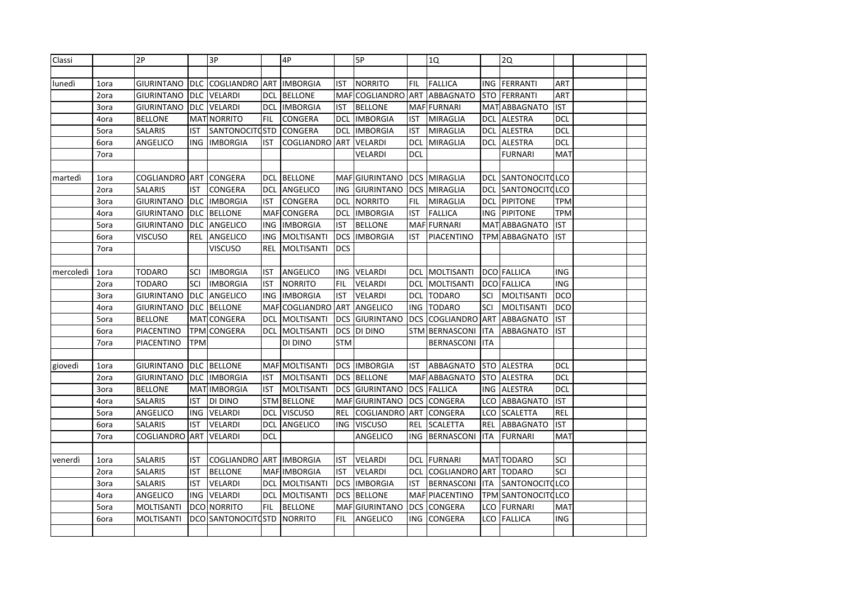| Classi    |      | 2P                    |            | 3P                  |     | 4P                  |            | 5P                  |            | 1Q                  |            | 2Q                    |            |  |
|-----------|------|-----------------------|------------|---------------------|-----|---------------------|------------|---------------------|------------|---------------------|------------|-----------------------|------------|--|
|           |      |                       |            |                     |     |                     |            |                     |            |                     |            |                       |            |  |
| lunedì    | 1ora | <b>GIURINTANO</b>     | <b>DLC</b> | <b>COGLIANDRO</b>   | ART | <b>IMBORGIA</b>     | IST        | <b>NORRITO</b>      | FIL        | <b>FALLICA</b>      | <b>ING</b> | <b>FERRANTI</b>       | <b>ART</b> |  |
|           | 2ora | <b>GIURINTANO</b>     | <b>DLC</b> | VELARDI             | DCL | <b>BELLONE</b>      | <b>MAF</b> | COGLIANDRO          | <b>ART</b> | <b>ABBAGNATO</b>    |            | <b>STO FERRANTI</b>   | ART        |  |
|           | 3ora | GIURINTANO            | <b>DLC</b> | <b>VELARDI</b>      | DCL | <b>IMBORGIA</b>     | IST        | <b>BELLONE</b>      |            | MAF FURNARI         |            | MAT ABBAGNATO         | <b>IST</b> |  |
|           | 4ora | BELLONE               |            | MAT NORRITO         | FIL | CONGERA             | <b>DCL</b> | <b>IMBORGIA</b>     | IST        | <b>MIRAGLIA</b>     | DCL        | <b>ALESTRA</b>        | DCL        |  |
|           | 5ora | <b>SALARIS</b>        | IST        | SANTONOCITO STD     |     | CONGERA             | <b>DCL</b> | <b>IMBORGIA</b>     | IST        | <b>MIRAGLIA</b>     |            | DCL ALESTRA           | DCL        |  |
|           | 6ora | ANGELICO              | ING        | <b>IMBORGIA</b>     | IST | COGLIANDRO          | ART        | VELARDI             | DCL        | <b>MIRAGLIA</b>     |            | DCL ALESTRA           | DCL        |  |
|           | 7ora |                       |            |                     |     |                     |            | VELARDI             | <b>DCL</b> |                     |            | <b>FURNARI</b>        | MAT        |  |
|           |      |                       |            |                     |     |                     |            |                     |            |                     |            |                       |            |  |
| martedì   | 1ora | <b>COGLIANDRO ART</b> |            | <b>CONGERA</b>      |     | DCL BELLONE         |            | MAF GIURINTANO      |            | DCS MIRAGLIA        | DCL        | SANTONOCITOLCO        |            |  |
|           | 2ora | SALARIS               | IST        | CONGERA             | DCL | ANGELICO            |            | ING GIURINTANO      |            | <b>DCS MIRAGLIA</b> |            | DCL SANTONOCITOLCO    |            |  |
|           | 3ora | <b>GIURINTANO</b>     | <b>DLC</b> | <b>IMBORGIA</b>     | IST | CONGERA             | DCL        | <b>NORRITO</b>      | <b>FIL</b> | <b>MIRAGLIA</b>     |            | <b>DCL PIPITONE</b>   | <b>TPM</b> |  |
|           | 4ora | <b>GIURINTANO</b>     | <b>DLC</b> | <b>BELLONE</b>      |     | MAF CONGERA         | <b>DCL</b> | <b>IMBORGIA</b>     | IST        | <b>FALLICA</b>      | <b>ING</b> | PIPITONE              | <b>TPM</b> |  |
|           | 5ora | <b>GIURINTANO</b>     | <b>DLC</b> | ANGELICO            | ING | <b>IMBORGIA</b>     | <b>IST</b> | <b>BELLONE</b>      |            | MAF FURNARI         |            | MAT ABBAGNATO         | <b>IST</b> |  |
|           | 6ora | <b>VISCUSO</b>        | REL        | ANGELICO            | ING | <b>MOLTISANTI</b>   | <b>DCS</b> | <b>IMBORGIA</b>     | IST        | PIACENTINO          | <b>TPM</b> | <b>ABBAGNATO</b>      | <b>IST</b> |  |
|           | 7ora |                       |            | <b>VISCUSO</b>      | REL | MOLTISANTI          | <b>DCS</b> |                     |            |                     |            |                       |            |  |
|           |      |                       |            |                     |     |                     |            |                     |            |                     |            |                       |            |  |
| mercoledì | 1ora | TODARO                | SCI        | <b>IMBORGIA</b>     | IST | ANGELICO            | ING        | VELARDI             | DCL.       | MOLTISANTI          |            | <b>DCO FALLICA</b>    | <b>ING</b> |  |
|           | 2ora | TODARO                | SCI        | <b>IMBORGIA</b>     | IST | <b>NORRITO</b>      | <b>FIL</b> | VELARDI             | <b>DCL</b> | <b>MOLTISANTI</b>   |            | <b>DCO FALLICA</b>    | ING        |  |
|           | 3ora | <b>GIURINTANO</b>     | <b>DLC</b> | ANGELICO            | ING | <b>IMBORGIA</b>     | <b>IST</b> | VELARDI             | <b>DCL</b> | <b>TODARO</b>       | SCI        | MOLTISANTI            | DCO        |  |
|           | 4ora | <b>GIURINTANO</b>     | <b>DLC</b> | <b>BELLONE</b>      |     | MAF COGLIANDRO      | ART        | ANGELICO            | <b>ING</b> | <b>TODARO</b>       | SCI        | <b>MOLTISANTI</b>     | DCO        |  |
|           | 5ora | <b>BELLONE</b>        |            | MAT CONGERA         | DCL | <b>MOLTISANTI</b>   | DCS        | <b>GIURINTANO</b>   | <b>DCS</b> | COGLIANDRO ART      |            | ABBAGNATO             | <b>IST</b> |  |
|           | 6ora | PIACENTINO            |            | <b>TPM CONGERA</b>  | DCL | <b>MOLTISANTI</b>   |            | DCS DI DINO         |            | STM BERNASCONI      | <b>ITA</b> | ABBAGNATO             | IST        |  |
|           | 7ora | PIACENTINO            | <b>TPM</b> |                     |     | DI DINO             | <b>STM</b> |                     |            | <b>BERNASCONI</b>   | <b>ITA</b> |                       |            |  |
|           |      |                       |            |                     |     |                     |            |                     |            |                     |            |                       |            |  |
| giovedì   | 1ora | <b>GIURINTANO</b>     | <b>DLC</b> | <b>BELLONE</b>      |     | MAF MOLTISANTI      |            | <b>DCS IMBORGIA</b> | IST        | ABBAGNATO           |            | STO ALESTRA           | DCL        |  |
|           | 2ora | GIURINTANO            | <b>DLC</b> | <b>IMBORGIA</b>     | ist | <b>MOLTISANTI</b>   |            | <b>DCS BELLONE</b>  |            | MAF ABBAGNATO       |            | STO ALESTRA           | DCL        |  |
|           | 3ora | <b>BELLONE</b>        |            | MAT IMBORGIA        | IST | <b>MOLTISANTI</b>   |            | DCS GIURINTANO      |            | <b>DCS FALLICA</b>  |            | ING ALESTRA           | <b>DCL</b> |  |
|           | 4ora | SALARIS               | IST        | DI DINO             |     | <b>STM BELLONE</b>  |            | MAFGIURINTANO       |            | <b>DCS CONGERA</b>  |            | LCO ABBAGNATO         | <b>IST</b> |  |
|           | 5ora | ANGELICO              | ING        | VELARDI             | DCL | <b>VISCUSO</b>      | <b>REL</b> | COGLIANDRO          | <b>ART</b> | CONGERA             | LCO        | <b>SCALETTA</b>       | <b>REL</b> |  |
|           | 6ora | SALARIS               | IST        | VELARDI             | dcl | ANGELICO            | ING        | <b>VISCUSO</b>      | REL        | <b>SCALETTA</b>     | <b>REL</b> | ABBAGNATO             | IST        |  |
|           | 7ora | COGLIANDRO            | <b>ART</b> | VELARDI             | DCL |                     |            | ANGELICO            | ING.       | <b>BERNASCONI</b>   | ITA        | <b>FURNARI</b>        | MAT        |  |
|           |      |                       |            |                     |     |                     |            |                     |            |                     |            |                       |            |  |
| venerdì   | 1ora | <b>SALARIS</b>        | IST        | COGLIANDRO          |     | <b>ART IMBORGIA</b> | IST        | VELARDI             | DCL.       | <b>FURNARI</b>      |            | MAT TODARO            | SCI        |  |
|           | 2ora | <b>SALARIS</b>        | IST        | <b>BELLONE</b>      |     | MAF IMBORGIA        | IST        | VELARDI             | <b>DCL</b> | <b>COGLIANDRO</b>   | <b>ART</b> | <b>TODARO</b>         | SCI        |  |
|           | 3ora | SALARIS               | <b>IST</b> | VELARDI             | DCL | <b>MOLTISANTI</b>   | <b>DCS</b> | <b>IMBORGIA</b>     | IST        | <b>BERNASCONI</b>   | <b>ITA</b> | <b>SANTONOCITOLCO</b> |            |  |
|           | 4ora | ANGELICO              | ING        | <b>VELARDI</b>      | dcl | <b>MOLTISANTI</b>   | <b>DCS</b> | <b>BELLONE</b>      |            | MAF PIACENTINO      | <b>TPM</b> | <b>SANTONOCITQLCO</b> |            |  |
|           | 5ora | MOLTISANTI            |            | DCO NORRITO         | FIL | <b>BELLONE</b>      |            | MAF GIURINTANO      | <b>DCS</b> | <b>CONGERA</b>      |            | LCO FURNARI           | MAT        |  |
|           | 6ora | MOLTISANTI            |            | DCO SANTONOCITO STD |     | <b>NORRITO</b>      | <b>FIL</b> | ANGELICO            | ING.       | CONGERA             |            | LCO FALLICA           | ING        |  |
|           |      |                       |            |                     |     |                     |            |                     |            |                     |            |                       |            |  |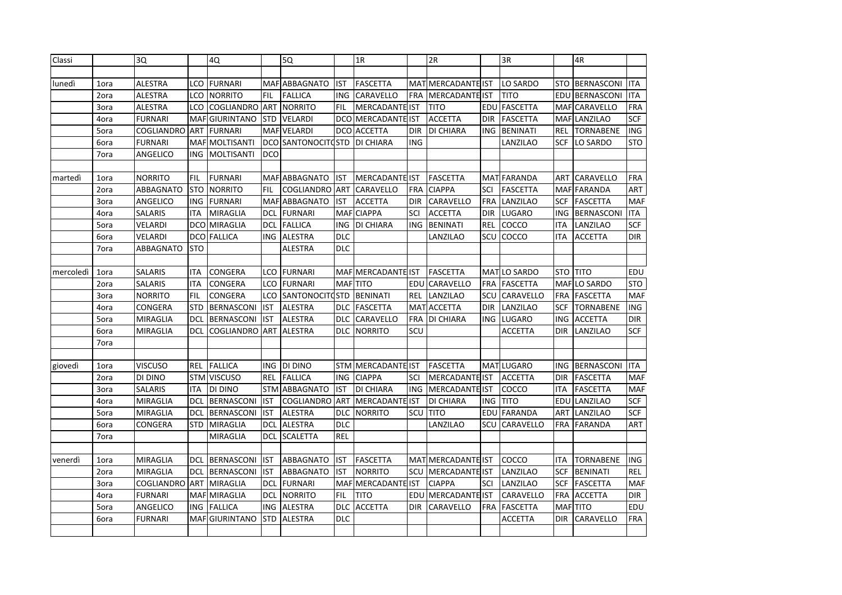| Classi    |      | 3Q              |            | 4Q                 |            | 5Q                  |            | 1R                    |            | 2R                    |            | 3R              |            | 4R                   |            |
|-----------|------|-----------------|------------|--------------------|------------|---------------------|------------|-----------------------|------------|-----------------------|------------|-----------------|------------|----------------------|------------|
|           |      |                 |            |                    |            |                     |            |                       |            |                       |            |                 |            |                      |            |
| lunedì    | 1ora | <b>ALESTRA</b>  | LCO        | <b>FURNARI</b>     |            | MAF ABBAGNATO       | <b>IST</b> | <b>FASCETTA</b>       | <b>MAT</b> | <b>MERCADANTE IST</b> |            | LO SARDO        | <b>STO</b> | <b>BERNASCONI</b>    | <b>ITA</b> |
|           | 2ora | <b>ALESTRA</b>  | LCO        | <b>NORRITO</b>     | <b>FIL</b> | <b>FALLICA</b>      | <b>ING</b> | CARAVELLO             | <b>FRA</b> | MERCADANTE IST        |            | <b>TITO</b>     | EDU        | <b>BERNASCONI</b>    | <b>ITA</b> |
|           | 3ora | <b>ALESTRA</b>  | LCO        | COGLIANDRO         | <b>ART</b> | <b>NORRITO</b>      | <b>FIL</b> | MERCADANTE IST        |            | <b>TITO</b>           | EDU        | <b>FASCETTA</b> | <b>MAF</b> | CARAVELLO            | <b>FRA</b> |
|           | 4ora | <b>FURNARI</b>  |            | MAFGIURINTANO      |            | STD VELARDI         |            | DCO MERCADANTE IST    |            | <b>ACCETTA</b>        | <b>DIR</b> | <b>FASCETTA</b> |            | MAF LANZILAO         | <b>SCF</b> |
|           | 5ora | COGLIANDRO      | ART        | <b>FURNARI</b>     |            | MAF VELARDI         |            | DCO ACCETTA           | <b>DIR</b> | DI CHIARA             | ING        | <b>BENINATI</b> | REL        | <b>TORNABENE</b>     | <b>ING</b> |
|           | 6ora | <b>FURNARI</b>  |            | MAF MOLTISANTI     |            | DCO SANTONOCITO STD |            | <b>DI CHIARA</b>      | <b>ING</b> |                       |            | LANZILAO        | SCF        | LO SARDO             | <b>STO</b> |
|           | 7ora | ANGELICO        | <b>ING</b> | <b>MOLTISANTI</b>  | <b>DCO</b> |                     |            |                       |            |                       |            |                 |            |                      |            |
|           |      |                 |            |                    |            |                     |            |                       |            |                       |            |                 |            |                      |            |
| martedì   | 1ora | <b>NORRITO</b>  | FIL        | <b>FURNARI</b>     |            | MAF ABBAGNATO       | IST        | <b>MERCADANTE IST</b> |            | <b>FASCETTA</b>       |            | MAT FARANDA     |            | <b>ART CARAVELLO</b> | <b>FRA</b> |
|           | 2ora | ABBAGNATO       | <b>STO</b> | <b>NORRITO</b>     | <b>FIL</b> | COGLIANDRO          | ART        | CARAVELLO             | <b>FRA</b> | <b>CIAPPA</b>         | SCI        | <b>FASCETTA</b> |            | MAF FARANDA          | ART        |
|           | 3ora | ANGELICO        | <b>ING</b> | <b>FURNARI</b>     |            | MAF ABBAGNATO       | IST        | <b>ACCETTA</b>        | <b>DIR</b> | CARAVELLO             | <b>FRA</b> | LANZILAO        | SCF        | <b>FASCETTA</b>      | <b>MAF</b> |
|           | 4ora | <b>SALARIS</b>  | <b>ITA</b> | <b>MIRAGLIA</b>    | <b>DCL</b> | <b>FURNARI</b>      |            | MAF CIAPPA            | SCI        | <b>ACCETTA</b>        | <b>DIR</b> | <b>LUGARO</b>   | ING        | <b>BERNASCONI</b>    | <b>ITA</b> |
|           | 5ora | VELARDI         | DCO        | <b>MIRAGLIA</b>    | DCL        | <b>FALLICA</b>      | <b>ING</b> | DI CHIARA             | <b>ING</b> | <b>BENINATI</b>       | <b>REL</b> | COCCO           | <b>ITA</b> | LANZILAO             | <b>SCF</b> |
|           | 6ora | VELARDI         | <b>DCO</b> | <b>FALLICA</b>     | ING        | ALESTRA             | <b>DLC</b> |                       |            | LANZILAO              | SCU        | COCCO           | ITA        | ACCETTA              | <b>DIR</b> |
|           | 7ora | ABBAGNATO       | <b>STO</b> |                    |            | ALESTRA             | <b>DLC</b> |                       |            |                       |            |                 |            |                      |            |
|           |      |                 |            |                    |            |                     |            |                       |            |                       |            |                 |            |                      |            |
| mercoledì | 1ora | <b>SALARIS</b>  | ITA        | CONGERA            | LCO        | FURNARI             |            | MAF MERCADANTE IST    |            | <b>FASCETTA</b>       | MAT        | LO SARDO        | STO        | <b>TITO</b>          | EDU        |
|           | 2ora | <b>SALARIS</b>  | <b>ITA</b> | CONGERA            | LCO        | <b>FURNARI</b>      |            | <b>MAF</b> TITO       | EDU        | CARAVELLO             | <b>FRA</b> | <b>FASCETTA</b> | <b>MAF</b> | LO SARDO             | <b>STO</b> |
|           | 3ora | <b>NORRITO</b>  | FIL        | CONGERA            | LCO        | SANTONOCITO         | <b>STD</b> | <b>BENINATI</b>       | <b>REL</b> | LANZILAO              | SCU        | CARAVELLO       | <b>FRA</b> | <b>FASCETTA</b>      | <b>MAF</b> |
|           | 4ora | CONGERA         | <b>STD</b> | <b>BERNASCONI</b>  | <b>IST</b> | ALESTRA             |            | DLC FASCETTA          |            | MAT ACCETTA           | <b>DIR</b> | LANZILAO        | SCF        | <b>TORNABENE</b>     | <b>ING</b> |
|           | 5ora | MIRAGLIA        | <b>DCL</b> | <b>BERNASCONI</b>  | <b>IST</b> | <b>ALESTRA</b>      | DLC.       | CARAVELLO             | <b>FRA</b> | DI CHIARA             | ING.       | <b>LUGARO</b>   | ING        | <b>ACCETTA</b>       | <b>DIR</b> |
|           | 6ora | MIRAGLIA        | DCL        | COGLIANDRO         | ART        | <b>ALESTRA</b>      | <b>DLC</b> | <b>NORRITO</b>        | SCU        |                       |            | ACCETTA         | <b>DIR</b> | LANZILAO             | <b>SCF</b> |
|           | 7ora |                 |            |                    |            |                     |            |                       |            |                       |            |                 |            |                      |            |
|           |      |                 |            |                    |            |                     |            |                       |            |                       |            |                 |            |                      |            |
| giovedì   | 1ora | <b>VISCUSO</b>  | REL        | <b>FALLICA</b>     | <b>ING</b> | DI DINO             | STM        | MERCADANTE IST        |            | <b>FASCETTA</b>       |            | MAT LUGARO      | ING        | <b>BERNASCONI</b>    | <b>ITA</b> |
|           | 2ora | DI DINO         |            | <b>STM VISCUSO</b> | REL        | <b>FALLICA</b>      | ING        | <b>CIAPPA</b>         | SCI        | MERCADANTE IST        |            | <b>ACCETTA</b>  | <b>DIR</b> | <b>FASCETTA</b>      | <b>MAF</b> |
|           | 3ora | <b>SALARIS</b>  | ITA        | DI DINO            |            | STM ABBAGNATO       | <b>IST</b> | DI CHIARA             | <b>ING</b> | MERCADANTE IST        |            | COCCO           | ITA        | <b>FASCETTA</b>      | <b>MAF</b> |
|           | 4ora | MIRAGLIA        | DCL        | <b>BERNASCONI</b>  | <b>IST</b> | COGLIANDRO          | <b>ART</b> | <b>MERCADANTE IST</b> |            | DI CHIARA             | ING        | <b>TITO</b>     | EDU        | LANZILAO             | <b>SCF</b> |
|           | 5ora | <b>MIRAGLIA</b> | DCL        | <b>BERNASCONI</b>  | <b>IST</b> | <b>ALESTRA</b>      | DLC.       | <b>NORRITO</b>        | SCU        | <b>TITO</b>           | EDU        | <b>FARANDA</b>  | ART        | LANZILAO             | <b>SCF</b> |
|           | 6ora | CONGERA         | <b>STD</b> | <b>MIRAGLIA</b>    | DCL        | <b>ALESTRA</b>      | <b>DLC</b> |                       |            | LANZILAO              | SCU        | CARAVELLO       | FRA        | <b>FARANDA</b>       | <b>ART</b> |
|           | 7ora |                 |            | MIRAGLIA           | <b>DCL</b> | SCALETTA            | <b>REL</b> |                       |            |                       |            |                 |            |                      |            |
|           |      |                 |            |                    |            |                     |            |                       |            |                       |            |                 |            |                      |            |
| venerdì   | 1ora | <b>MIRAGLIA</b> | <b>DCL</b> | <b>BERNASCONI</b>  | <b>IST</b> | ABBAGNATO           | IST        | <b>FASCETTA</b>       |            | MAT MERCADANTE IST    |            | COCCO           | ITA        | <b>TORNABENE</b>     | <b>ING</b> |
|           | 2ora | MIRAGLIA        | DCL        | <b>BERNASCONI</b>  | <b>IST</b> | ABBAGNATO           | <b>IST</b> | <b>NORRITO</b>        | SCU        | MERCADANTE IST        |            | LANZILAO        | <b>SCF</b> | <b>BENINATI</b>      | REL        |
|           | 3ora | COGLIANDRO      | ART        | MIRAGLIA           | <b>DCL</b> | <b>FURNARI</b>      |            | MAF MERCADANTE IST    |            | <b>CIAPPA</b>         | SCI        | LANZILAO        | <b>SCF</b> | <b>FASCETTA</b>      | <b>MAF</b> |
|           | 4ora | <b>FURNARI</b>  |            | MAF MIRAGLIA       | dcl        | <b>NORRITO</b>      | <b>FIL</b> | <b>TITO</b>           | EDU        | <b>MERCADANTE IST</b> |            | CARAVELLO       | FRA        | <b>ACCETTA</b>       | <b>DIR</b> |
|           | 5ora | ANGELICO        | ING        | <b>FALLICA</b>     | ING        | ALESTRA             | DLC.       | <b>ACCETTA</b>        | <b>DIR</b> | CARAVELLO             | FRA        | FASCETTA        |            | MAF TITO             | EDU        |
|           | 6ora | <b>FURNARI</b>  |            | MAFGIURINTANO      | <b>STD</b> | <b>ALESTRA</b>      | <b>DLC</b> |                       |            |                       |            | <b>ACCETTA</b>  | DIR        | CARAVELLO            | <b>FRA</b> |
|           |      |                 |            |                    |            |                     |            |                       |            |                       |            |                 |            |                      |            |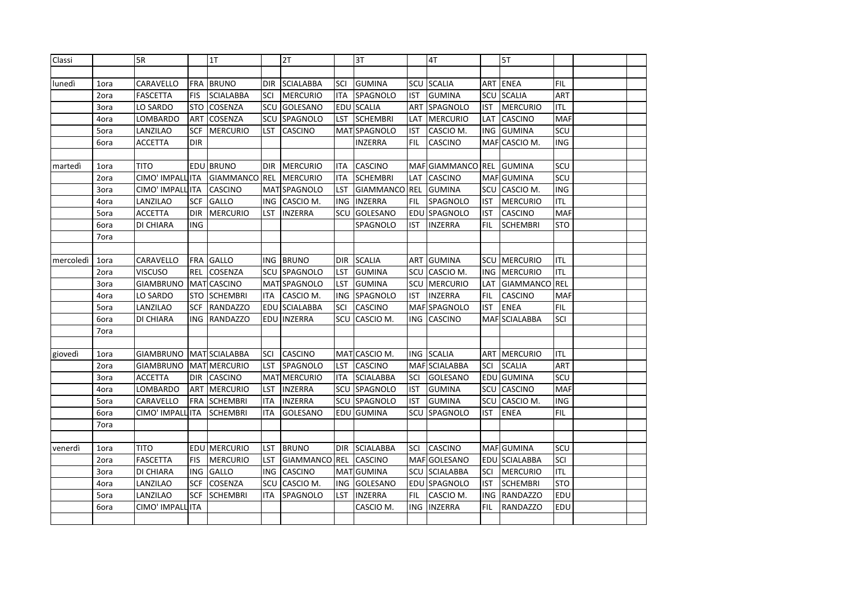| Classi    |      | 5R               |            | 1T                   |            | 2T                  |            | 3T               |            | 4T                |            | 5T                   |            |  |
|-----------|------|------------------|------------|----------------------|------------|---------------------|------------|------------------|------------|-------------------|------------|----------------------|------------|--|
|           |      |                  |            |                      |            |                     |            |                  |            |                   |            |                      |            |  |
| lunedì    | 1ora | CARAVELLO        |            | FRA BRUNO            |            | DIR SCIALABBA       | SCI        | <b>GUMINA</b>    | SCU        | <b>SCALIA</b>     | ART        | <b>ENEA</b>          | <b>FIL</b> |  |
|           | 2ora | <b>FASCETTA</b>  | <b>FIS</b> | <b>SCIALABBA</b>     | SCI        | <b>MERCURIO</b>     | ITA        | SPAGNOLO         | <b>IST</b> | <b>GUMINA</b>     | SCU        | <b>SCALIA</b>        | ART        |  |
|           | 3ora | LO SARDO         | <b>STO</b> | <b>COSENZA</b>       | SCU        | GOLESANO            |            | EDU SCALIA       | <b>ART</b> | SPAGNOLO          | <b>IST</b> | <b>MERCURIO</b>      | <b>ITL</b> |  |
|           | 4ora | LOMBARDO         | ART        | COSENZA              | SCU        | SPAGNOLO            | LST        | <b>SCHEMBRI</b>  | LAT        | <b>MERCURIO</b>   | LAT        | <b>CASCINO</b>       | <b>MAF</b> |  |
|           | 5ora | LANZILAO         | <b>SCF</b> | <b>MERCURIO</b>      | LST        | CASCINO             |            | MAT SPAGNOLO     | <b>IST</b> | CASCIO M.         | ING        | <b>GUMINA</b>        | SCU        |  |
|           | 6ora | ACCETTA          | <b>DIR</b> |                      |            |                     |            | INZERRA          | <b>FIL</b> | CASCINO           | <b>MAF</b> | CASCIO M.            | <b>ING</b> |  |
|           |      |                  |            |                      |            |                     |            |                  |            |                   |            |                      |            |  |
| martedì   | 1ora | <b>TITO</b>      |            | <b>EDU BRUNO</b>     |            | DIR   MERCURIO      | ITA        | <b>CASCINO</b>   |            | MAF GIAMMANCO REL |            | <b>GUMINA</b>        | SCU        |  |
|           | 2ora | CIMO' IMPALL ITA |            | <b>GIAMMANCO</b>     | <b>REL</b> | <b>MERCURIO</b>     | ITA        | <b>SCHEMBRI</b>  | LAT        | <b>CASCINO</b>    |            | MAF GUMINA           | SCU        |  |
|           | 3ora | CIMO' IMPALL ITA |            | <b>CASCINO</b>       |            | MAT SPAGNOLO        | <b>LST</b> | <b>GIAMMANCO</b> | <b>REL</b> | <b>GUMINA</b>     | SCU        | CASCIO M.            | <b>ING</b> |  |
|           | 4ora | LANZILAO         | SCF        | GALLO                | ING        | CASCIO M.           | <b>ING</b> | <b>INZERRA</b>   | FIL        | SPAGNOLO          | IST        | <b>MERCURIO</b>      | <b>ITL</b> |  |
|           | 5ora | <b>ACCETTA</b>   | <b>DIR</b> | <b>MERCURIO</b>      | LST        | <b>INZERRA</b>      | SCU        | GOLESANO         | EDU        | <b>SPAGNOLO</b>   | <b>IST</b> | <b>CASCINO</b>       | <b>MAF</b> |  |
|           | 6ora | DI CHIARA        | <b>ING</b> |                      |            |                     |            | SPAGNOLO         | <b>IST</b> | <b>INZERRA</b>    | <b>FIL</b> | <b>SCHEMBRI</b>      | <b>STO</b> |  |
|           | 7ora |                  |            |                      |            |                     |            |                  |            |                   |            |                      |            |  |
|           |      |                  |            |                      |            |                     |            |                  |            |                   |            |                      |            |  |
| mercoledì | 1ora | CARAVELLO        | <b>FRA</b> | <b>GALLO</b>         |            | ING BRUNO           | <b>DIR</b> | <b>SCALIA</b>    | ART        | <b>GUMINA</b>     |            | <b>SCU MERCURIO</b>  | <b>ITL</b> |  |
|           | 2ora | <b>VISCUSO</b>   | <b>REL</b> | COSENZA              | SCU        | <b>SPAGNOLO</b>     | LST        | <b>GUMINA</b>    | SCU        | CASCIO M.         | <b>ING</b> | <b>MERCURIO</b>      | <b>ITL</b> |  |
|           | 3ora | <b>GIAMBRUNO</b> |            | MAT CASCINO          |            | MAT SPAGNOLO        | LST        | <b>GUMINA</b>    | SCU        | <b>MERCURIO</b>   | LAT        | <b>GIAMMANCO REL</b> |            |  |
|           | 4ora | LO SARDO         | <b>STO</b> | <b>SCHEMBRI</b>      | <b>ITA</b> | CASCIO M.           | <b>ING</b> | SPAGNOLO         | <b>IST</b> | <b>INZERRA</b>    | <b>FIL</b> | <b>CASCINO</b>       | <b>MAF</b> |  |
|           | 5ora | LANZILAO         | SCF        | <b>RANDAZZO</b>      | EDU        | <b>SCIALABBA</b>    | SCI        | CASCINO          |            | MAF SPAGNOLO      | IST        | <b>ENEA</b>          | <b>FIL</b> |  |
|           | 6ora | DI CHIARA        | <b>ING</b> | <b>RANDAZZO</b>      | EDU        | <b>INZERRA</b>      | SCU        | CASCIO M.        | ING.       | <b>CASCINO</b>    | <b>MAF</b> | <b>SCIALABBA</b>     | SCI        |  |
|           | 7ora |                  |            |                      |            |                     |            |                  |            |                   |            |                      |            |  |
|           |      |                  |            |                      |            |                     |            |                  |            |                   |            |                      |            |  |
| giovedì   | 1ora | <b>GIAMBRUNO</b> |            | <b>MAT SCIALABBA</b> | SCI        | <b>CASCINO</b>      | MAT        | CASCIO M.        | <b>ING</b> | <b>SCALIA</b>     | ART        | <b>MERCURIO</b>      | <b>ITL</b> |  |
|           | 2ora | <b>GIAMBRUNO</b> |            | MAT MERCURIO         | LST        | SPAGNOLO            | LST        | CASCINO          |            | MAF SCIALABBA     | SCI        | <b>SCALIA</b>        | ART        |  |
|           | 3ora | ACCETTA          | <b>DIR</b> | <b>CASCINO</b>       |            | <b>MAT MERCURIO</b> | ITA        | <b>SCIALABBA</b> | SCI        | GOLESANO          |            | EDU GUMINA           | SCU        |  |
|           | 4ora | LOMBARDO         | ART        | <b>MERCURIO</b>      | LST        | <b>INZERRA</b>      | SCU        | SPAGNOLO         | <b>IST</b> | <b>GUMINA</b>     | SCU        | <b>CASCINO</b>       | <b>MAF</b> |  |
|           | 5ora | CARAVELLO        | <b>FRA</b> | <b>SCHEMBRI</b>      | <b>ITA</b> | <b>INZERRA</b>      | SCU        | SPAGNOLO         | <b>IST</b> | <b>GUMINA</b>     | SCU        | CASCIO M.            | <b>ING</b> |  |
|           | 6ora | CIMO' IMPALL     | <b>ITA</b> | <b>SCHEMBRI</b>      | ITA        | GOLESANO            |            | EDU GUMINA       | SCU        | <b>SPAGNOLO</b>   | IST        | <b>ENEA</b>          | FIL        |  |
|           | 7ora |                  |            |                      |            |                     |            |                  |            |                   |            |                      |            |  |
|           |      |                  |            |                      |            |                     |            |                  |            |                   |            |                      |            |  |
| venerdì   | 1ora | TITO             |            | <b>EDU MERCURIO</b>  | LST        | <b>BRUNO</b>        | <b>DIR</b> | <b>SCIALABBA</b> | SCI        | CASCINO           |            | MAF GUMINA           | SCU        |  |
|           | 2ora | <b>FASCETTA</b>  | <b>FIS</b> | <b>MERCURIO</b>      | LST        | <b>GIAMMANCO</b>    | REL        | <b>CASCINO</b>   |            | MAF GOLESANO      |            | EDU SCIALABBA        | SCI        |  |
|           | 3ora | DI CHIARA        | ING        | <b>GALLO</b>         | <b>ING</b> | <b>CASCINO</b>      |            | MAT GUMINA       | SCU        | <b>SCIALABBA</b>  | SCI        | <b>MERCURIO</b>      | ITL        |  |
|           | 4ora | LANZILAO         | <b>SCF</b> | COSENZA              | SCU        | CASCIO M.           | ING        | GOLESANO         | EDU        | <b>SPAGNOLO</b>   | IST        | <b>SCHEMBRI</b>      | <b>STO</b> |  |
|           | 5ora | LANZILAO         | <b>SCF</b> | <b>SCHEMBRI</b>      | ITA        | SPAGNOLO            | LST        | <b>INZERRA</b>   | FIL        | CASCIO M.         |            | ING RANDAZZO         | <b>EDU</b> |  |
|           | 6ora | CIMO' IMPALL     | <b>ITA</b> |                      |            |                     |            | CASCIO M.        | ING.       | <b>INZERRA</b>    | FIL        | <b>RANDAZZO</b>      | EDU        |  |
|           |      |                  |            |                      |            |                     |            |                  |            |                   |            |                      |            |  |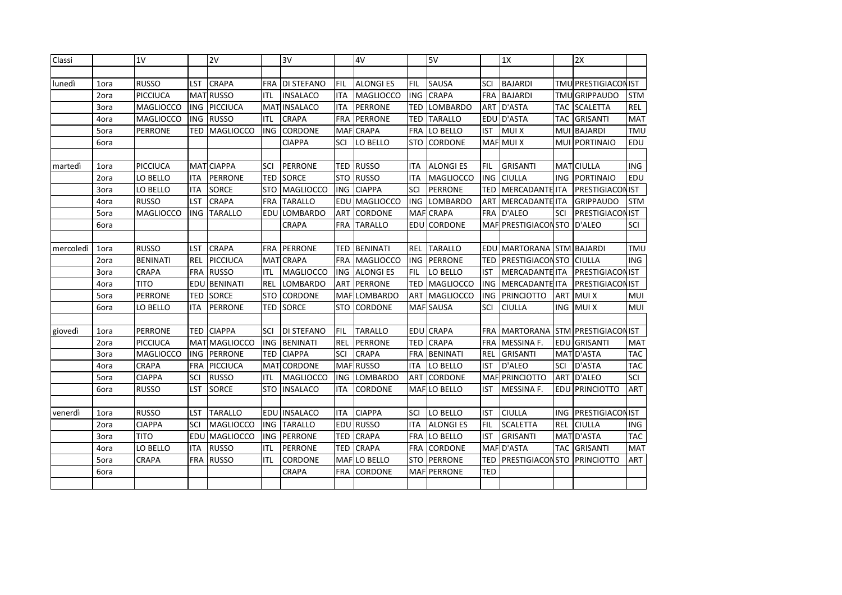| Classi    |      | 1V               |            | 2V               |            | 3V                 |            | 4V                  |            | 5V               |            | 1X                        |            | 2X                      |            |
|-----------|------|------------------|------------|------------------|------------|--------------------|------------|---------------------|------------|------------------|------------|---------------------------|------------|-------------------------|------------|
|           |      |                  |            |                  |            |                    |            |                     |            |                  |            |                           |            |                         |            |
| lunedì    | 1ora | <b>RUSSO</b>     | LST        | <b>CRAPA</b>     |            | FRA DI STEFANO     | FIL        | <b>ALONGIES</b>     | FIL        | SAUSA            | SCI        | <b>BAJARDI</b>            |            | TMU PRESTIGIACON IST    |            |
|           | 2ora | <b>PICCIUCA</b>  |            | MATRUSSO         | ITL        | <b>INSALACO</b>    | <b>ITA</b> | <b>MAGLIOCCO</b>    | <b>ING</b> | <b>CRAPA</b>     | <b>FRA</b> | <b>BAJARDI</b>            |            | <b>TMU GRIPPAUDO</b>    | <b>STM</b> |
|           | 3ora | <b>MAGLIOCCO</b> | ING        | PICCIUCA         | MAT        | <b>INSALACO</b>    | <b>ITA</b> | <b>PERRONE</b>      | <b>TED</b> | <b>LOMBARDO</b>  | ART        | D'ASTA                    | TAC.       | <b>SCALETTA</b>         | REL        |
|           | 4ora | <b>MAGLIOCCO</b> | ING        | <b>RUSSO</b>     | ITL        | <b>CRAPA</b>       | <b>FRA</b> | PERRONE             | <b>TED</b> | <b>TARALLO</b>   |            | EDU D'ASTA                | <b>TAC</b> | <b>GRISANTI</b>         | <b>MAT</b> |
|           | 5ora | <b>PERRONE</b>   | TED        | <b>MAGLIOCCO</b> | ING        | <b>CORDONE</b>     | MAF        | <b>CRAPA</b>        | <b>FRA</b> | LO BELLO         | IST        | <b>MUIX</b>               | <b>MUI</b> | <b>BAJARDI</b>          | <b>TMU</b> |
|           | 6ora |                  |            |                  |            | <b>CIAPPA</b>      | SCI        | LO BELLO            | <b>STO</b> | <b>CORDONE</b>   |            | MAF MUI X                 | MUI        | PORTINAIO               | EDU        |
|           |      |                  |            |                  |            |                    |            |                     |            |                  |            |                           |            |                         |            |
| martedì   | 1ora | <b>PICCIUCA</b>  |            | MAT CIAPPA       | SCI        | <b>PERRONE</b>     |            | <b>TED RUSSO</b>    | <b>ITA</b> | <b>ALONGI ES</b> | FIL        | <b>GRISANTI</b>           |            | MAT CIULLA              | ING        |
|           | 2ora | LO BELLO         | ITA        | <b>PERRONE</b>   | TED        | SORCE              | <b>STO</b> | <b>RUSSO</b>        | <b>ITA</b> | <b>MAGLIOCCO</b> | <b>ING</b> | <b>CIULLA</b>             | <b>ING</b> | PORTINAIO               | EDU        |
|           | 3ora | LO BELLO         | <b>ITA</b> | <b>SORCE</b>     | STO        | MAGLIOCCO          | ING        | <b>CIAPPA</b>       | SCI        | PERRONE          | TED        | MERCADANTE ITA            |            | <b>PRESTIGIACONIST</b>  |            |
|           | 4ora | <b>RUSSO</b>     | LST        | <b>CRAPA</b>     | <b>FRA</b> | <b>TARALLO</b>     | EDU        | MAGLIOCCO           | <b>ING</b> | LOMBARDO         | <b>ART</b> | MERCADANTE ITA            |            | <b>GRIPPAUDO</b>        | <b>STM</b> |
|           | 5ora | <b>MAGLIOCCO</b> | ING        | <b>TARALLO</b>   | EDU        | LOMBARDO           | <b>ART</b> | <b>CORDONE</b>      | <b>MAF</b> | <b>CRAPA</b>     | <b>FRA</b> | D'ALEO                    | SCI        | <b>PRESTIGIACON IST</b> |            |
|           | 6ora |                  |            |                  |            | CRAPA              | <b>FRA</b> | <b>TARALLO</b>      |            | EDU CORDONE      |            | MAF PRESTIGIACON STO      |            | D'ALEO                  | SCI        |
|           |      |                  |            |                  |            |                    |            |                     |            |                  |            |                           |            |                         |            |
| mercoledì | 1ora | <b>RUSSO</b>     | LST        | <b>CRAPA</b>     |            | <b>FRA PERRONE</b> |            | <b>TED BENINATI</b> | <b>REL</b> | <b>TARALLO</b>   |            | EDU MARTORANA STM BAJARDI |            |                         | <b>TMU</b> |
|           | 2ora | <b>BENINATI</b>  | <b>REL</b> | <b>PICCIUCA</b>  | MAT        | <b>CRAPA</b>       | <b>FRA</b> | MAGLIOCCO           | <b>ING</b> | <b>PERRONE</b>   | <b>TED</b> | PRESTIGIACON STO          |            | <b>CIULLA</b>           | <b>ING</b> |
|           | 3ora | <b>CRAPA</b>     | FRA        | <b>RUSSO</b>     | ITL        | MAGLIOCCO          |            | ING ALONGIES        | <b>FIL</b> | LO BELLO         | <b>IST</b> | MERCADANTE ITA            |            | <b>PRESTIGIACON IST</b> |            |
|           | 4ora | <b>TITO</b>      | EDU        | <b>BENINATI</b>  | <b>REL</b> | LOMBARDO           | <b>ART</b> | PERRONE             | <b>TED</b> | <b>MAGLIOCCO</b> | ING        | MERCADANTE ITA            |            | <b>PRESTIGIACON IST</b> |            |
|           | 5ora | <b>PERRONE</b>   | TED        | <b>SORCE</b>     | <b>STO</b> | CORDONE            | <b>MAF</b> | <b>LOMBARDO</b>     | <b>ART</b> | MAGLIOCCO        | <b>ING</b> | <b>PRINCIOTTO</b>         | ART        | <b>MUIX</b>             | MUI        |
|           | 6ora | LO BELLO         | <b>ITA</b> | <b>PERRONE</b>   | TED        | <b>SORCE</b>       | STO        | <b>CORDONE</b>      |            | MAF SAUSA        | SCI        | <b>CIULLA</b>             | ING        | <b>MUIX</b>             | MUI        |
|           |      |                  |            |                  |            |                    |            |                     |            |                  |            |                           |            |                         |            |
| giovedì   | 1ora | <b>PERRONE</b>   | TED        | <b>CIAPPA</b>    | SCI        | <b>DI STEFANO</b>  | FIL        | <b>TARALLO</b>      |            | EDU CRAPA        | <b>FRA</b> | <b>MARTORANA</b>          |            | STM PRESTIGIACON IST    |            |
|           | 2ora | <b>PICCIUCA</b>  |            | MAT MAGLIOCCO    | ING        | <b>BENINATI</b>    | <b>REL</b> | <b>PERRONE</b>      | <b>TED</b> | <b>CRAPA</b>     | <b>FRA</b> | MESSINA F.                | EDU        | <b>GRISANTI</b>         | <b>MAT</b> |
|           | 3ora | <b>MAGLIOCCO</b> | <b>ING</b> | PERRONE          | TED        | <b>CIAPPA</b>      | SCI        | <b>CRAPA</b>        | <b>FRA</b> | <b>BENINATI</b>  | <b>REL</b> | <b>GRISANTI</b>           |            | MAT D'ASTA              | <b>TAC</b> |
|           | 4ora | <b>CRAPA</b>     | FRA        | PICCIUCA         |            | MAT CORDONE        |            | MAF RUSSO           | ITA        | LO BELLO         | <b>IST</b> | D'ALEO                    | SCI        | D'ASTA                  | <b>TAC</b> |
|           | 5ora | <b>CIAPPA</b>    | SCI        | <b>RUSSO</b>     | ITL        | <b>MAGLIOCCO</b>   | ING        | <b>LOMBARDO</b>     | ART        | CORDONE          |            | MAF PRINCIOTTO            | ART        | D'ALEO                  | SCI        |
|           | 6ora | <b>RUSSO</b>     | LST        | <b>SORCE</b>     | <b>STO</b> | <b>INSALACO</b>    | ITA        | <b>CORDONE</b>      |            | MAF LO BELLO     | IST        | MESSINA F.                |            | EDU PRINCIOTTO          | ART        |
|           |      |                  |            |                  |            |                    |            |                     |            |                  |            |                           |            |                         |            |
| venerdì   | 1ora | <b>RUSSO</b>     | LST        | <b>TARALLO</b>   |            | EDU INSALACO       | <b>ITA</b> | <b>CIAPPA</b>       | SCI        | LO BELLO         | <b>IST</b> | <b>CIULLA</b>             |            | ING PRESTIGIACONIST     |            |
|           | 2ora | <b>CIAPPA</b>    | SCI        | <b>MAGLIOCCO</b> | <b>ING</b> | <b>TARALLO</b>     |            | EDU RUSSO           | <b>ITA</b> | <b>ALONGIES</b>  | FIL        | <b>SCALETTA</b>           | <b>REL</b> | <b>CIULLA</b>           | <b>ING</b> |
|           | 3ora | <b>TITO</b>      | EDU        | MAGLIOCCO        |            | ING PERRONE        | TED        | <b>CRAPA</b>        | <b>FRA</b> | LO BELLO         | IST        | <b>GRISANTI</b>           |            | MAT D'ASTA              | <b>TAC</b> |
|           | 4ora | LO BELLO         | ITA        | <b>RUSSO</b>     | ITL        | <b>PERRONE</b>     | TED        | <b>CRAPA</b>        | <b>FRA</b> | <b>CORDONE</b>   |            | MAF D'ASTA                |            | <b>TAC GRISANTI</b>     | <b>MAT</b> |
|           | 5ora | <b>CRAPA</b>     | <b>FRA</b> | <b>RUSSO</b>     | ITL        | <b>CORDONE</b>     |            | MAF LO BELLO        | <b>STO</b> | <b>PERRONE</b>   | TED        | <b>PRESTIGIACONSTO</b>    |            | PRINCIOTTO              | <b>ART</b> |
|           | 6ora |                  |            |                  |            | <b>CRAPA</b>       | <b>FRA</b> | <b>CORDONE</b>      |            | MAF PERRONE      | TED        |                           |            |                         |            |
|           |      |                  |            |                  |            |                    |            |                     |            |                  |            |                           |            |                         |            |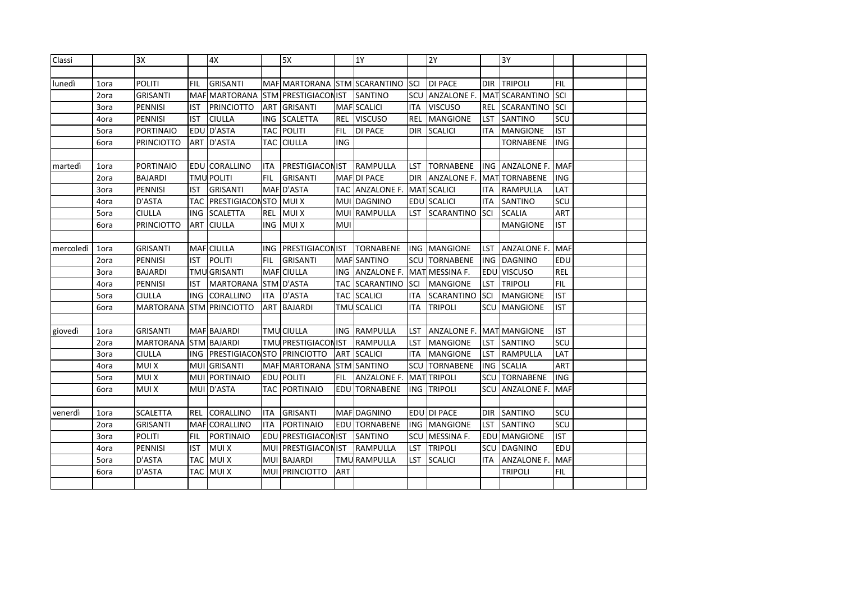| Classi    |      | 3X                |            | 4X                             |            | 5X                           |            | 1Y                 |            | 2Y                       |            | 3Y                   |            |  |
|-----------|------|-------------------|------------|--------------------------------|------------|------------------------------|------------|--------------------|------------|--------------------------|------------|----------------------|------------|--|
|           |      |                   |            |                                |            |                              |            |                    |            |                          |            |                      |            |  |
| lunedì    | 1ora | <b>POLITI</b>     | <b>FIL</b> | <b>GRISANTI</b>                |            | MAF MARTORANA STM SCARANTINO |            |                    | <b>SCI</b> | <b>DI PACE</b>           | <b>DIR</b> | <b>TRIPOLI</b>       | <b>FIL</b> |  |
|           | 2ora | <b>GRISANTI</b>   |            | MAF MARTORANA                  |            | <b>STM PRESTIGIACON IST</b>  |            | SANTINO            | SCU        | <b>ANZALONE F.</b>       | <b>MAT</b> | <b>SCARANTINO</b>    | SCI        |  |
|           | 3ora | PENNISI           | IST        | <b>PRINCIOTTO</b>              |            | ART GRISANTI                 |            | MAF SCALICI        | <b>ITA</b> | <b>VISCUSO</b>           | <b>REL</b> | <b>SCARANTINO</b>    | SCI        |  |
|           | 4ora | PENNISI           | <b>IST</b> | <b>CIULLA</b>                  | <b>ING</b> | <b>SCALETTA</b>              | <b>REL</b> | <b>VISCUSO</b>     | <b>REL</b> | <b>MANGIONE</b>          | LST        | SANTINO              | SCU        |  |
|           | 5ora | PORTINAIO         |            | EDU D'ASTA                     | TAC        | <b>POLITI</b>                | <b>FIL</b> | <b>DI PACE</b>     | <b>DIR</b> | <b>SCALICI</b>           | <b>ITA</b> | <b>MANGIONE</b>      | <b>IST</b> |  |
|           | 6ora | <b>PRINCIOTTO</b> |            | ART D'ASTA                     |            | <b>TAC CIULLA</b>            | ING        |                    |            |                          |            | <b>TORNABENE</b>     | ING.       |  |
|           |      |                   |            |                                |            |                              |            |                    |            |                          |            |                      |            |  |
| martedì   | 1ora | PORTINAIO         |            | EDU CORALLINO                  | <b>ITA</b> | <b>PRESTIGIACON IST</b>      |            | <b>RAMPULLA</b>    | LST        | <b>TORNABENE</b>         |            | ING ANZALONE F.      | <b>MAF</b> |  |
|           | 2ora | <b>BAJARDI</b>    |            | <b>TMU POLITI</b>              | FIL        | <b>GRISANTI</b>              | <b>MAF</b> | <b>DI PACE</b>     | <b>DIR</b> | <b>ANZALONE F.</b>       | MAT        | <b>TORNABENE</b>     | ING.       |  |
|           | 3ora | PENNISI           | IST        | <b>GRISANTI</b>                |            | MAF D'ASTA                   | TAC.       | <b>ANZALONE F.</b> |            | <b>MAT SCALICI</b>       | ITA        | <b>RAMPULLA</b>      | <b>LAT</b> |  |
|           | 4ora | D'ASTA            | TAC I      | <b>PRESTIGIACON STO</b>        |            | <b>MUIX</b>                  | <b>MUI</b> | <b>DAGNINO</b>     |            | EDU SCALICI              | <b>ITA</b> | SANTINO              | SCU        |  |
|           | 5ora | <b>CIULLA</b>     | ING        | <b>SCALETTA</b>                | <b>REL</b> | <b>MUIX</b>                  | <b>MUI</b> | <b>RAMPULLA</b>    | LST.       | <b>SCARANTINO</b>        | SCI        | <b>SCALIA</b>        | ART        |  |
|           | 6ora | PRINCIOTTO        | <b>ART</b> | <b>CIULLA</b>                  | <b>ING</b> | <b>MUIX</b>                  | <b>MUI</b> |                    |            |                          |            | <b>MANGIONE</b>      | <b>IST</b> |  |
|           |      |                   |            |                                |            |                              |            |                    |            |                          |            |                      |            |  |
| mercoledì | 1ora | <b>GRISANTI</b>   |            | MAF CIULLA                     | ING        | <b>PRESTIGIACON IST</b>      |            | <b>TORNABENE</b>   |            | ING MANGIONE             | LST        | ANZALONE F.          | <b>MAF</b> |  |
|           | 2ora | PENNISI           | <b>IST</b> | <b>POLITI</b>                  | <b>FIL</b> | GRISANTI                     |            | <b>MAF SANTINO</b> | SCU        | <b>TORNABENE</b>         | <b>ING</b> | <b>DAGNINO</b>       | EDU        |  |
|           | 3ora | <b>BAJARDI</b>    |            | <b>TMU</b> GRISANTI            | <b>MAF</b> | <b>CIULLA</b>                |            | ING ANZALONE F.    |            | MAT MESSINA F.           | EDU        | <b>VISCUSO</b>       | <b>REL</b> |  |
|           | 4ora | PENNISI           | IST        | MARTORANA                      |            | STM D'ASTA                   | <b>TAC</b> | <b>SCARANTINO</b>  | <b>SCI</b> | <b>MANGIONE</b>          | LST        | <b>TRIPOLI</b>       | <b>FIL</b> |  |
|           | 5ora | <b>CIULLA</b>     | <b>ING</b> | <b>CORALLINO</b>               | <b>ITA</b> | D'ASTA                       |            | <b>TAC SCALICI</b> | ITA        | <b>SCARANTINO</b>        | SCI        | <b>MANGIONE</b>      | <b>IST</b> |  |
|           | 6ora | MARTORANA         |            | <b>STM PRINCIOTTO</b>          | <b>ART</b> | <b>BAJARDI</b>               |            | <b>TMU SCALICI</b> | ITA        | <b>TRIPOLI</b>           | SCU        | <b>MANGIONE</b>      | <b>IST</b> |  |
|           |      |                   |            |                                |            |                              |            |                    |            |                          |            |                      |            |  |
| giovedì   | 1ora | <b>GRISANTI</b>   |            | MAF BAJARDI                    |            | <b>TMU CIULLA</b>            |            | ING RAMPULLA       | LST        | ANZALONE F. MAT MANGIONE |            |                      | <b>IST</b> |  |
|           | 2ora | <b>MARTORANA</b>  |            | <b>STM BAJARDI</b>             |            | TMU PRESTIGIACON IST         |            | <b>RAMPULLA</b>    | LST        | <b>MANGIONE</b>          | LST        | SANTINO              | SCU        |  |
|           | 3ora | <b>CIULLA</b>     |            | ING PRESTIGIACONSTO PRINCIOTTO |            |                              | ART        | <b>SCALICI</b>     | ITA.       | <b>MANGIONE</b>          | LST        | <b>RAMPULLA</b>      | LAT        |  |
|           | 4ora | <b>MUIX</b>       |            | MUI GRISANTI                   |            | MAF MARTORANA                |            | <b>STM SANTINO</b> | SCU        | <b>TORNABENE</b>         | <b>ING</b> | <b>SCALIA</b>        | <b>ART</b> |  |
|           | 5ora | <b>MUIX</b>       |            | MUI PORTINAIO                  |            | EDU POLITI                   | FIL        | <b>ANZALONE F.</b> |            | <b>MAT TRIPOLI</b>       |            | <b>SCU TORNABENE</b> | <b>ING</b> |  |
|           | 6ora | <b>MUIX</b>       |            | MUI D'ASTA                     |            | <b>TAC PORTINAIO</b>         |            | EDU TORNABENE      | ING        | <b>TRIPOLI</b>           |            | SCU LANZALONE F.     | <b>MAF</b> |  |
|           |      |                   |            |                                |            |                              |            |                    |            |                          |            |                      |            |  |
| venerdì   | 1ora | <b>SCALETTA</b>   |            | REL CORALLINO                  | <b>ITA</b> | <b>GRISANTI</b>              |            | MAF DAGNINO        |            | EDU DI PACE              | <b>DIR</b> | SANTINO              | <b>SCU</b> |  |
|           | 2ora | <b>GRISANTI</b>   |            | MAF CORALLINO                  | <b>ITA</b> | PORTINAIO                    |            | EDU TORNABENE      |            | ING MANGIONE             | <b>LST</b> | <b>SANTINO</b>       | scu        |  |
|           | 3ora | <b>POLITI</b>     | FIL        | PORTINAIO                      |            | EDU PRESTIGIACON IST         |            | SANTINO            |            | SCU MESSINA F.           |            | <b>EDU MANGIONE</b>  | <b>IST</b> |  |
|           | 4ora | PENNISI           | <b>IST</b> | <b>MUIX</b>                    | <b>MUI</b> | <b>PRESTIGIACON IST</b>      |            | <b>RAMPULLA</b>    | <b>LST</b> | <b>TRIPOLI</b>           |            | SCU DAGNINO          | EDU        |  |
|           | 5ora | D'ASTA            |            | TAC MUIX                       |            | MUI BAJARDI                  |            | TMU RAMPULLA       | <b>LST</b> | <b>SCALICI</b>           | <b>ITA</b> | <b>ANZALONE F.</b>   | MAF        |  |
|           | 6ora | D'ASTA            |            | TAC MUI X                      | <b>MUI</b> | PRINCIOTTO                   | ART        |                    |            |                          |            | <b>TRIPOLI</b>       | <b>FIL</b> |  |
|           |      |                   |            |                                |            |                              |            |                    |            |                          |            |                      |            |  |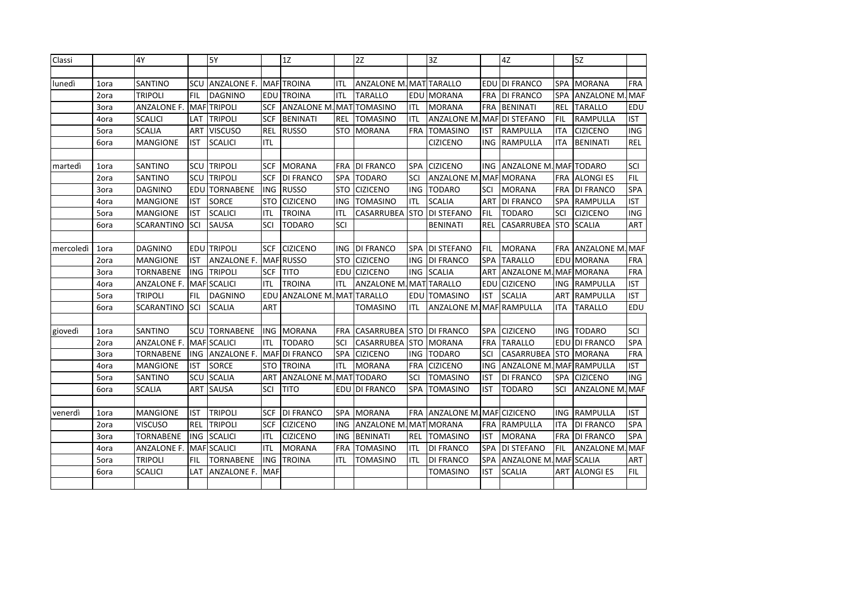| Classi    |      | 4Y                |            | <b>5Y</b>          |            | 1Z                 |            | 2Z                             |            | 3Z                       |            | 4Z                       |            | 5Z                     |            |
|-----------|------|-------------------|------------|--------------------|------------|--------------------|------------|--------------------------------|------------|--------------------------|------------|--------------------------|------------|------------------------|------------|
|           |      |                   |            |                    |            |                    |            |                                |            |                          |            |                          |            |                        |            |
| lunedì    | 1ora | SANTINO           | SCU        | <b>ANZALONE F.</b> |            | <b>MAF</b> TROINA  | ITL        | <b>ANZALONE M. MAT TARALLO</b> |            |                          | EDU        | <b>DI FRANCO</b>         | <b>SPA</b> | <b>MORANA</b>          | <b>FRA</b> |
|           | 2ora | TRIPOLI           | FIL        | <b>DAGNINO</b>     |            | EDU TROINA         | ITL        | <b>TARALLO</b>                 |            | EDU MORANA               | <b>FRA</b> | <b>DI FRANCO</b>         | <b>SPA</b> | <b>ANZALONE M. MAF</b> |            |
|           | 3ora | ANZALONE F.       |            | MAFTRIPOLI         | <b>SCF</b> | <b>ANZALONE M</b>  | <b>MAT</b> | <b>TOMASINO</b>                | <b>ITL</b> | <b>MORANA</b>            | <b>FRA</b> | <b>BENINATI</b>          | REL        | <b>TARALLO</b>         | EDU        |
|           | 4ora | <b>SCALICI</b>    | LAT        | <b>TRIPOLI</b>     | <b>SCF</b> | <b>BENINATI</b>    | <b>REL</b> | <b>TOMASINO</b>                | ITL        | <b>ANZALONE M</b>        |            | MAF DI STEFANO           | FIL        | <b>RAMPULLA</b>        | <b>IST</b> |
|           | 5ora | <b>SCALIA</b>     | ART        | <b>VISCUSO</b>     | <b>REL</b> | <b>RUSSO</b>       | STO        | <b>MORANA</b>                  | <b>FRA</b> | <b>TOMASINO</b>          | <b>IST</b> | <b>RAMPULLA</b>          | <b>ITA</b> | <b>CIZICENO</b>        | <b>ING</b> |
|           | 6ora | <b>MANGIONE</b>   | IST        | <b>SCALICI</b>     | ITL        |                    |            |                                |            | <b>CIZICENO</b>          | ING        | <b>RAMPULLA</b>          | ITA        | <b>BENINATI</b>        | <b>REL</b> |
|           |      |                   |            |                    |            |                    |            |                                |            |                          |            |                          |            |                        |            |
| martedì   | 1ora | SANTINO           |            | <b>SCU TRIPOLI</b> | <b>SCF</b> | <b>MORANA</b>      | <b>FRA</b> | <b>DI FRANCO</b>               | <b>SPA</b> | <b>CIZICENO</b>          | ING        | ANZALONE M. MAF TODARO   |            |                        | SCI        |
|           | 2ora | SANTINO           | SCU        | <b>TRIPOLI</b>     | <b>SCF</b> | <b>DI FRANCO</b>   | <b>SPA</b> | <b>TODARO</b>                  | SCI        | <b>ANZALONE M.</b>       | MAF.       | <b>MORANA</b>            | FRA        | <b>ALONGIES</b>        | <b>FIL</b> |
|           | 3ora | <b>DAGNINO</b>    | EDU        | <b>TORNABENE</b>   | <b>ING</b> | <b>RUSSO</b>       | <b>STO</b> | <b>CIZICENO</b>                | <b>ING</b> | <b>TODARO</b>            | SCI        | <b>MORANA</b>            | FRA        | <b>DI FRANCO</b>       | <b>SPA</b> |
|           | 4ora | <b>MANGIONE</b>   | IST        | <b>SORCE</b>       | <b>STO</b> | <b>CIZICENO</b>    | ING.       | <b>TOMASINO</b>                | ITL        | <b>SCALIA</b>            | ART        | <b>DI FRANCO</b>         | <b>SPA</b> | RAMPULLA               | <b>IST</b> |
|           | 5ora | <b>MANGIONE</b>   | <b>IST</b> | <b>SCALICI</b>     | ITL        | <b>TROINA</b>      | <b>ITL</b> | CASARRUBEA                     | <b>STO</b> | <b>DI STEFANO</b>        | FIL        | <b>TODARO</b>            | SCI        | <b>CIZICENO</b>        | <b>ING</b> |
|           | 6ora | <b>SCARANTINO</b> | SCI        | SAUSA              | SCI        | <b>TODARO</b>      | SCI        |                                |            | <b>BENINATI</b>          | <b>REL</b> | CASARRUBEA               | <b>STO</b> | <b>SCALIA</b>          | <b>ART</b> |
|           |      |                   |            |                    |            |                    |            |                                |            |                          |            |                          |            |                        |            |
| mercoledì | 1ora | <b>DAGNINO</b>    |            | EDU TRIPOLI        | <b>SCF</b> | <b>CIZICENO</b>    | ING        | <b>DI FRANCO</b>               | <b>SPA</b> | <b>DI STEFANO</b>        | <b>FIL</b> | <b>MORANA</b>            | FRA        | <b>ANZALONE M. MAF</b> |            |
|           | 2ora | <b>MANGIONE</b>   | <b>IST</b> | <b>ANZALONE F.</b> |            | <b>MAF RUSSO</b>   | STO        | <b>CIZICENO</b>                | <b>ING</b> | <b>DI FRANCO</b>         | SPA        | <b>TARALLO</b>           | EDU        | <b>MORANA</b>          | FRA        |
|           | 3ora | <b>TORNABENE</b>  | <b>ING</b> | <b>TRIPOLI</b>     | <b>SCF</b> | <b>TITO</b>        | EDU        | <b>CIZICENO</b>                | ING        | <b>SCALIA</b>            | ART        | <b>ANZALONE M. MAF</b>   |            | <b>MORANA</b>          | <b>FRA</b> |
|           | 4ora | ANZALONE F.       |            | MAF SCALICI        | <b>ITL</b> | <b>TROINA</b>      | <b>ITL</b> | <b>ANZALONE M</b>              | MAT        | <b>TARALLO</b>           | EDU        | <b>CIZICENO</b>          | ING        | RAMPULLA               | <b>IST</b> |
|           | 5ora | <b>TRIPOLI</b>    | <b>FIL</b> | <b>DAGNINO</b>     | <b>EDU</b> | <b>ANZALONE M.</b> | MAT        | <b>TARALLO</b>                 | EDU        | <b>TOMASINO</b>          | <b>IST</b> | <b>SCALIA</b>            | ART        | <b>RAMPULLA</b>        | <b>IST</b> |
|           | 6ora | <b>SCARANTINO</b> | SCI        | <b>SCALIA</b>      | ART        |                    |            | <b>TOMASINO</b>                | ITL        | <b>ANZALONE M.</b>       |            | MAF RAMPULLA             | <b>ITA</b> | <b>TARALLO</b>         | <b>EDU</b> |
|           |      |                   |            |                    |            |                    |            |                                |            |                          |            |                          |            |                        |            |
| giovedì   | 1ora | SANTINO           | SCU        | <b>TORNABENE</b>   |            | ING MORANA         | <b>FRA</b> | CASARRUBEA                     | <b>STO</b> | <b>DI FRANCO</b>         | SPA        | <b>CIZICENO</b>          | ING        | <b>TODARO</b>          | SCI        |
|           | 2ora | ANZALONE F.       |            | MAF SCALICI        | ITL        | <b>TODARO</b>      | SCI        | CASARRUBEA                     | <b>STO</b> | <b>MORANA</b>            | <b>FRA</b> | <b>TARALLO</b>           | EDU        | <b>DI FRANCO</b>       | <b>SPA</b> |
|           | 3ora | <b>TORNABENE</b>  | <b>ING</b> | <b>ANZALONE F.</b> |            | MAF DI FRANCO      | SPA        | <b>CIZICENO</b>                | ING        | <b>TODARO</b>            | SCI        | CASARRUBEA               | <b>STO</b> | <b>MORANA</b>          | <b>FRA</b> |
|           | 4ora | <b>MANGIONE</b>   | <b>IST</b> | <b>SORCE</b>       |            | <b>STO ITROINA</b> | ITL        | <b>MORANA</b>                  | FRA        | <b>CIZICENO</b>          | ING        | ANZALONE M. MAF RAMPULLA |            |                        | <b>IST</b> |
|           | 5ora | SANTINO           | SCU        | <b>SCALIA</b>      | ART        | <b>ANZALONE M.</b> |            | MAT TODARO                     | SCI        | <b>TOMASINO</b>          | <b>IST</b> | <b>DI FRANCO</b>         |            | SPA CIZICENO           | <b>ING</b> |
|           | 6ora | <b>SCALIA</b>     | ART        | <b>SAUSA</b>       | SCI        | <b>TITO</b>        |            | EDU DI FRANCO                  | <b>SPA</b> | <b>TOMASINO</b>          | <b>IST</b> | <b>TODARO</b>            | SCI        | <b>ANZALONE M. MAF</b> |            |
|           |      |                   |            |                    |            |                    |            |                                |            |                          |            |                          |            |                        |            |
| venerdì   | 1ora | <b>MANGIONE</b>   | <b>IST</b> | <b>TRIPOLI</b>     | <b>SCF</b> | <b>DI FRANCO</b>   |            | SPA MORANA                     | <b>FRA</b> | ANZALONE M. MAF CIZICENO |            |                          |            | ING RAMPULLA           | <b>IST</b> |
|           | 2ora | <b>VISCUSO</b>    | <b>REL</b> | <b>TRIPOLI</b>     | <b>SCF</b> | <b>CIZICENO</b>    | <b>ING</b> | ANZALONE M. MAT MORANA         |            |                          | <b>FRA</b> | <b>RAMPULLA</b>          | <b>ITA</b> | <b>DI FRANCO</b>       | <b>SPA</b> |
|           | 3ora | <b>TORNABENE</b>  | <b>ING</b> | <b>SCALICI</b>     | ITL        | <b>CIZICENO</b>    | ING        | <b>BENINATI</b>                | <b>REL</b> | <b>TOMASINO</b>          | IST        | <b>MORANA</b>            |            | FRA DI FRANCO          | SPA        |
|           | 4ora | ANZALONE F.       |            | MAF SCALICI        | ITL        | <b>MORANA</b>      | FRA        | <b>TOMASINO</b>                | ITL        | <b>DI FRANCO</b>         | SPA        | <b>DI STEFANO</b>        | <b>FIL</b> | <b>ANZALONE M. MAF</b> |            |
|           | 5ora | <b>TRIPOLI</b>    | <b>FIL</b> | <b>TORNABENE</b>   | <b>ING</b> | <b>TROINA</b>      | <b>ITL</b> | <b>TOMASINO</b>                | ITL        | <b>DI FRANCO</b>         | SPA        | ANZALONE M. MAF SCALIA   |            |                        | ART        |
|           | 6ora | <b>SCALICI</b>    | LAT        | ANZALONE F.        | <b>MAF</b> |                    |            |                                |            | <b>TOMASINO</b>          | <b>IST</b> | <b>SCALIA</b>            | ART        | <b>ALONGIES</b>        | <b>FIL</b> |
|           |      |                   |            |                    |            |                    |            |                                |            |                          |            |                          |            |                        |            |